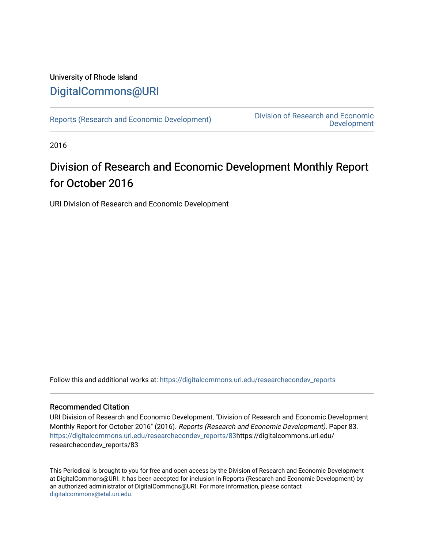# University of Rhode Island [DigitalCommons@URI](https://digitalcommons.uri.edu/)

[Reports \(Research and Economic Development\)](https://digitalcommons.uri.edu/researchecondev_reports) Division of Research and Economic [Development](https://digitalcommons.uri.edu/researchecondev) 

2016

# Division of Research and Economic Development Monthly Report for October 2016

URI Division of Research and Economic Development

Follow this and additional works at: [https://digitalcommons.uri.edu/researchecondev\\_reports](https://digitalcommons.uri.edu/researchecondev_reports?utm_source=digitalcommons.uri.edu%2Fresearchecondev_reports%2F83&utm_medium=PDF&utm_campaign=PDFCoverPages) 

### Recommended Citation

URI Division of Research and Economic Development, "Division of Research and Economic Development Monthly Report for October 2016" (2016). Reports (Research and Economic Development). Paper 83. [https://digitalcommons.uri.edu/researchecondev\\_reports/83](https://digitalcommons.uri.edu/researchecondev_reports/83?utm_source=digitalcommons.uri.edu%2Fresearchecondev_reports%2F83&utm_medium=PDF&utm_campaign=PDFCoverPages)https://digitalcommons.uri.edu/ researchecondev\_reports/83

This Periodical is brought to you for free and open access by the Division of Research and Economic Development at DigitalCommons@URI. It has been accepted for inclusion in Reports (Research and Economic Development) by an authorized administrator of DigitalCommons@URI. For more information, please contact [digitalcommons@etal.uri.edu](mailto:digitalcommons@etal.uri.edu).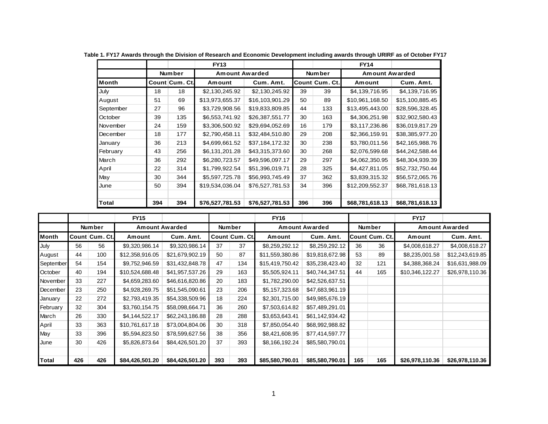|              |     |                | <b>FY13</b>     |                 |     |                | <b>FY14</b>           |                 |
|--------------|-----|----------------|-----------------|-----------------|-----|----------------|-----------------------|-----------------|
|              |     | <b>Number</b>  | Amount Awarded  |                 |     | Number         | <b>Amount Awarded</b> |                 |
| <b>Month</b> |     | Count Cum. Ct. | Amount          | Cum. Amt.       |     | Count Cum. Ct. | Amount                | Cum. Amt.       |
| July         | 18  | 18             | \$2,130,245.92  | \$2,130,245.92  | 39  | 39             | \$4,139,716.95        | \$4,139,716.95  |
| August       | 51  | 69             | \$13,973,655.37 | \$16,103,901.29 | 50  | 89             | \$10,961,168.50       | \$15,100,885.45 |
| September    | 27  | 96             | \$3,729,908.56  | \$19,833,809.85 | 44  | 133            | \$13,495,443.00       | \$28,596,328.45 |
| October      | 39  | 135            | \$6,553,741.92  | \$26,387,551.77 | 30  | 163            | \$4,306,251.98        | \$32,902,580.43 |
| November     | 24  | 159            | \$3,306,500.92  | \$29,694,052.69 | 16  | 179            | \$3,117,236.86        | \$36,019,817.29 |
| December     | 18  | 177            | \$2,790,458.11  | \$32,484,510.80 | 29  | 208            | \$2,366,159.91        | \$38,385,977.20 |
| January      | 36  | 213            | \$4,699,661.52  | \$37,184,172.32 | 30  | 238            | \$3,780,011.56        | \$42,165,988.76 |
| February     | 43  | 256            | \$6,131,201.28  | \$43,315,373.60 | 30  | 268            | \$2,076,599.68        | \$44,242,588.44 |
| March        | 36  | 292            | \$6,280,723.57  | \$49,596,097.17 | 29  | 297            | \$4,062,350.95        | \$48,304,939.39 |
| April        | 22  | 314            | \$1,799,922.54  | \$51,396,019.71 | 28  | 325            | \$4,427,811.05        | \$52,732,750.44 |
| May          | 30  | 344            | \$5,597,725.78  | \$56,993,745.49 | 37  | 362            | \$3,839,315.32        | \$56,572,065.76 |
| June         | 50  | 394            | \$19,534,036.04 | \$76,527,781.53 | 34  | 396            | \$12,209,552.37       | \$68,781,618.13 |
|              |     |                |                 |                 |     |                |                       |                 |
| Total        | 394 | 394            | \$76,527,781.53 | \$76,527,781.53 | 396 | 396            | \$68,781,618.13       | \$68,781,618.13 |

**Table 1. FY17 Awards through the Division of Research and Economic Development including awards through URIRF as of October FY17**

|              |     |                  | <b>FY15</b>           |                 |     |                | <b>FY16</b>     |                       |        |                | <b>FY17</b>           |                 |
|--------------|-----|------------------|-----------------------|-----------------|-----|----------------|-----------------|-----------------------|--------|----------------|-----------------------|-----------------|
|              |     | Number           | <b>Amount Awarded</b> |                 |     | Number         |                 | <b>Amount Awarded</b> | Number |                | <b>Amount Awarded</b> |                 |
| <b>Month</b> |     | ¦Count∣Cum. Ct.l | Amount                | Cum. Amt.       |     | Count Cum. Ct. | Amount          | Cum. Amt.             |        | Count Cum. Ct. | Amount                | Cum. Amt.       |
| July         | 56  | 56               | \$9,320,986.14        | \$9,320,986.14  | 37  | 37             | \$8,259,292.12  | \$8,259,292.12        | 36     | 36             | \$4,008,618.27        | \$4,008,618.27  |
| August       | 44  | 100              | \$12,358,916.05       | \$21,679,902.19 | 50  | 87             | \$11,559,380.86 | \$19,818,672.98       | 53     | 89             | \$8,235,001.58        | \$12,243,619.85 |
| September    | 54  | 154              | \$9,752,946.59        | \$31,432,848.78 | 47  | 134            | \$15,419,750.42 | \$35,238,423.40       | 32     | 121            | \$4,388,368.24        | \$16,631,988.09 |
| October      | 40  | 194              | \$10,524,688.48       | \$41,957,537.26 | 29  | 163            | \$5,505,924.11  | \$40,744,347.51       | 44     | 165            | \$10,346,122.27       | \$26,978,110.36 |
| November     | 33  | 227              | \$4,659,283.60        | \$46,616,820.86 | 20  | 183            | \$1,782,290.00  | \$42,526,637.51       |        |                |                       |                 |
| December     | 23  | 250              | \$4,928,269.75        | \$51,545,090.61 | 23  | 206            | \$5,157,323.68  | \$47,683,961.19       |        |                |                       |                 |
| January      | 22  | 272              | \$2,793,419.35        | \$54,338,509.96 | 18  | 224            | \$2,301,715.00  | \$49,985,676.19       |        |                |                       |                 |
| February     | 32  | 304              | \$3,760,154.75        | \$58,098,664.71 | 36  | 260            | \$7,503,614.82  | \$57,489,291.01       |        |                |                       |                 |
| March        | 26  | 330              | \$4,144,522.17        | \$62,243,186.88 | 28  | 288            | \$3,653,643.41  | \$61,142,934.42       |        |                |                       |                 |
| April        | 33  | 363              | \$10,761,617.18       | \$73,004,804.06 | 30  | 318            | \$7,850,054.40  | \$68,992,988.82       |        |                |                       |                 |
| May          | 33  | 396              | \$5,594,823.50        | \$78,599,627.56 | 38  | 356            | \$8,421,608.95  | \$77,414,597.77       |        |                |                       |                 |
| June         | 30  | 426              | \$5,826,873.64        | \$84,426,501.20 | 37  | 393            | \$8,166,192.24  | \$85,580,790.01       |        |                |                       |                 |
|              |     |                  |                       |                 |     |                |                 |                       |        |                |                       |                 |
| Total        | 426 | 426              | \$84,426,501.20       | \$84,426,501.20 | 393 | 393            | \$85,580,790.01 | \$85,580,790.01       | 165    | 165            | \$26,978,110.36       | \$26,978,110.36 |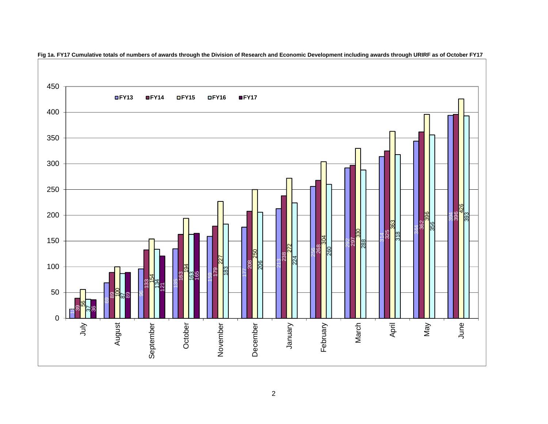

**Fig 1a. FY17 Cumulative totals of numbers of awards through the Division of Research and Economic Development including awards through URIRF as of October FY17**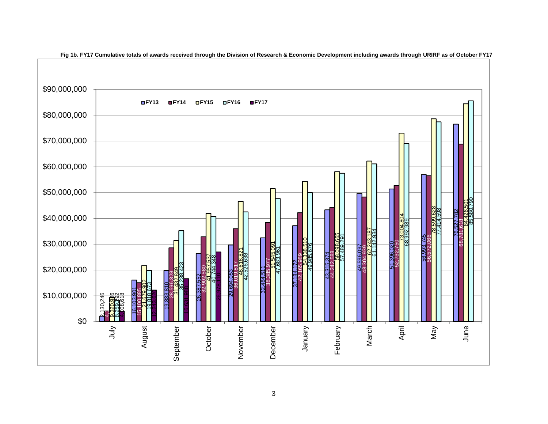

**Fig 1b. FY17 Cumulative totals of awards received through the Division of Research & Economic Development including awards through URIRF as of October FY17**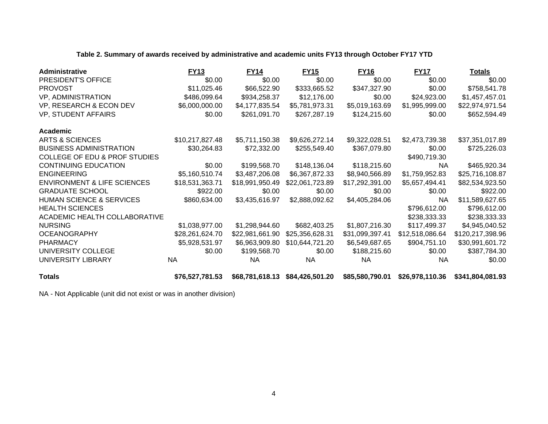### **Table 2. Summary of awards received by administrative and academic units FY13 through October FY17 YTD**

| Administrative                           | <b>FY13</b>     | <b>FY14</b>     | <b>FY15</b>     | <u>FY16</u>     | <b>FY17</b>     | <u>Totals</u>    |
|------------------------------------------|-----------------|-----------------|-----------------|-----------------|-----------------|------------------|
| PRESIDENT'S OFFICE                       | \$0.00          | \$0.00          | \$0.00          | \$0.00          | \$0.00          | \$0.00           |
| <b>PROVOST</b>                           | \$11,025.46     | \$66,522.90     | \$333,665.52    | \$347,327.90    | \$0.00          | \$758,541.78     |
| <b>VP, ADMINISTRATION</b>                | \$486,099.64    | \$934,258.37    | \$12,176.00     | \$0.00          | \$24,923.00     | \$1,457,457.01   |
| VP, RESEARCH & ECON DEV                  | \$6,000,000.00  | \$4,177,835.54  | \$5,781,973.31  | \$5,019,163.69  | \$1,995,999.00  | \$22,974,971.54  |
| VP, STUDENT AFFAIRS                      | \$0.00          | \$261,091.70    | \$267,287.19    | \$124,215.60    | \$0.00          | \$652,594.49     |
| Academic                                 |                 |                 |                 |                 |                 |                  |
| <b>ARTS &amp; SCIENCES</b>               | \$10,217,827.48 | \$5,711,150.38  | \$9,626,272.14  | \$9,322,028.51  | \$2,473,739.38  | \$37,351,017.89  |
| <b>BUSINESS ADMINISTRATION</b>           | \$30,264.83     | \$72,332.00     | \$255,549.40    | \$367,079.80    | \$0.00          | \$725,226.03     |
| <b>COLLEGE OF EDU &amp; PROF STUDIES</b> |                 |                 |                 |                 | \$490,719.30    |                  |
| <b>CONTINUING EDUCATION</b>              | \$0.00          | \$199,568.70    | \$148,136.04    | \$118,215.60    | <b>NA</b>       | \$465,920.34     |
| <b>ENGINEERING</b>                       | \$5,160,510.74  | \$3,487,206.08  | \$6,367,872.33  | \$8,940,566.89  | \$1,759,952.83  | \$25,716,108.87  |
| <b>ENVIRONMENT &amp; LIFE SCIENCES</b>   | \$18,531,363.71 | \$18,991,950.49 | \$22,061,723.89 | \$17,292,391.00 | \$5,657,494.41  | \$82,534,923.50  |
| <b>GRADUATE SCHOOL</b>                   | \$922.00        | \$0.00          | \$0.00          | \$0.00          | \$0.00          | \$922.00         |
| <b>HUMAN SCIENCE &amp; SERVICES</b>      | \$860,634.00    | \$3,435,616.97  | \$2,888,092.62  | \$4,405,284.06  | NA              | \$11,589,627.65  |
| <b>HEALTH SCIENCES</b>                   |                 |                 |                 |                 | \$796,612.00    | \$796,612.00     |
| ACADEMIC HEALTH COLLABORATIVE            |                 |                 |                 |                 | \$238,333.33    | \$238,333.33     |
| <b>NURSING</b>                           | \$1,038,977.00  | \$1,298,944.60  | \$682,403.25    | \$1,807,216.30  | \$117,499.37    | \$4,945,040.52   |
| <b>OCEANOGRAPHY</b>                      | \$28,261,624.70 | \$22,981,661.90 | \$25,356,628.31 | \$31,099,397.41 | \$12,518,086.64 | \$120,217,398.96 |
| <b>PHARMACY</b>                          | \$5,928,531.97  | \$6,963,909.80  | \$10,644,721.20 | \$6,549,687.65  | \$904,751.10    | \$30,991,601.72  |
| UNIVERSITY COLLEGE                       | \$0.00          | \$199,568.70    | \$0.00          | \$188,215.60    | \$0.00          | \$387,784.30     |
| UNIVERSITY LIBRARY                       | <b>NA</b>       | <b>NA</b>       | NA.             | NA.             | <b>NA</b>       | \$0.00           |
| <b>Totals</b>                            | \$76,527,781.53 | \$68,781,618.13 | \$84,426,501.20 | \$85,580,790.01 | \$26,978,110.36 | \$341,804,081.93 |

NA - Not Applicable (unit did not exist or was in another division)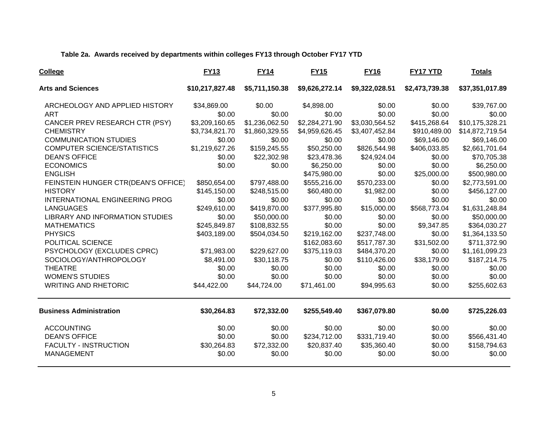### **Table 2a. Awards received by departments within colleges FY13 through October FY17 YTD**

| College                                | <b>FY13</b>     | <b>FY14</b>    | <b>FY15</b>    | <b>FY16</b>    | FY17 YTD       | <b>Totals</b>   |
|----------------------------------------|-----------------|----------------|----------------|----------------|----------------|-----------------|
| <b>Arts and Sciences</b>               | \$10,217,827.48 | \$5,711,150.38 | \$9,626,272.14 | \$9,322,028.51 | \$2,473,739.38 | \$37,351,017.89 |
| ARCHEOLOGY AND APPLIED HISTORY         | \$34,869.00     | \$0.00         | \$4,898.00     | \$0.00         | \$0.00         | \$39,767.00     |
| <b>ART</b>                             | \$0.00          | \$0.00         | \$0.00         | \$0.00         | \$0.00         | \$0.00          |
| CANCER PREV RESEARCH CTR (PSY)         | \$3,209,160.65  | \$1,236,062.50 | \$2,284,271.90 | \$3,030,564.52 | \$415,268.64   | \$10,175,328.21 |
| <b>CHEMISTRY</b>                       | \$3,734,821.70  | \$1,860,329.55 | \$4,959,626.45 | \$3,407,452.84 | \$910,489.00   | \$14,872,719.54 |
| <b>COMMUNICATION STUDIES</b>           | \$0.00          | \$0.00         | \$0.00         | \$0.00         | \$69,146.00    | \$69,146.00     |
| <b>COMPUTER SCIENCE/STATISTICS</b>     | \$1,219,627.26  | \$159,245.55   | \$50,250.00    | \$826,544.98   | \$406,033.85   | \$2,661,701.64  |
| <b>DEAN'S OFFICE</b>                   | \$0.00          | \$22,302.98    | \$23,478.36    | \$24,924.04    | \$0.00         | \$70,705.38     |
| <b>ECONOMICS</b>                       | \$0.00          | \$0.00         | \$6,250.00     | \$0.00         | \$0.00         | \$6,250.00      |
| <b>ENGLISH</b>                         |                 |                | \$475,980.00   | \$0.00         | \$25,000.00    | \$500,980.00    |
| FEINSTEIN HUNGER CTR(DEAN'S OFFICE)    | \$850,654.00    | \$797,488.00   | \$555,216.00   | \$570,233.00   | \$0.00         | \$2,773,591.00  |
| <b>HISTORY</b>                         | \$145,150.00    | \$248,515.00   | \$60,480.00    | \$1,982.00     | \$0.00         | \$456,127.00    |
| INTERNATIONAL ENGINEERING PROG         | \$0.00          | \$0.00         | \$0.00         | \$0.00         | \$0.00         | \$0.00          |
| <b>LANGUAGES</b>                       | \$249,610.00    | \$419,870.00   | \$377,995.80   | \$15,000.00    | \$568,773.04   | \$1,631,248.84  |
| <b>LIBRARY AND INFORMATION STUDIES</b> | \$0.00          | \$50,000.00    | \$0.00         | \$0.00         | \$0.00         | \$50,000.00     |
| <b>MATHEMATICS</b>                     | \$245,849.87    | \$108,832.55   | \$0.00         | \$0.00         | \$9,347.85     | \$364,030.27    |
| <b>PHYSICS</b>                         | \$403,189.00    | \$504,034.50   | \$219,162.00   | \$237,748.00   | \$0.00         | \$1,364,133.50  |
| POLITICAL SCIENCE                      |                 |                | \$162,083.60   | \$517,787.30   | \$31,502.00    | \$711,372.90    |
| PSYCHOLOGY (EXCLUDES CPRC)             | \$71,983.00     | \$229,627.00   | \$375,119.03   | \$484,370.20   | \$0.00         | \$1,161,099.23  |
| SOCIOLOGY/ANTHROPOLOGY                 | \$8,491.00      | \$30,118.75    | \$0.00         | \$110,426.00   | \$38,179.00    | \$187,214.75    |
| <b>THEATRE</b>                         | \$0.00          | \$0.00         | \$0.00         | \$0.00         | \$0.00         | \$0.00          |
| <b>WOMEN'S STUDIES</b>                 | \$0.00          | \$0.00         | \$0.00         | \$0.00         | \$0.00         | \$0.00          |
| <b>WRITING AND RHETORIC</b>            | \$44,422.00     | \$44,724.00    | \$71,461.00    | \$94,995.63    | \$0.00         | \$255,602.63    |
| <b>Business Administration</b>         | \$30,264.83     | \$72,332.00    | \$255,549.40   | \$367,079.80   | \$0.00         | \$725,226.03    |
| <b>ACCOUNTING</b>                      | \$0.00          | \$0.00         | \$0.00         | \$0.00         | \$0.00         | \$0.00          |
| <b>DEAN'S OFFICE</b>                   | \$0.00          | \$0.00         | \$234,712.00   | \$331,719.40   | \$0.00         | \$566,431.40    |
| <b>FACULTY - INSTRUCTION</b>           | \$30,264.83     | \$72,332.00    | \$20,837.40    | \$35,360.40    | \$0.00         | \$158,794.63    |
| MANAGEMENT                             | \$0.00          | \$0.00         | \$0.00         | \$0.00         | \$0.00         | \$0.00          |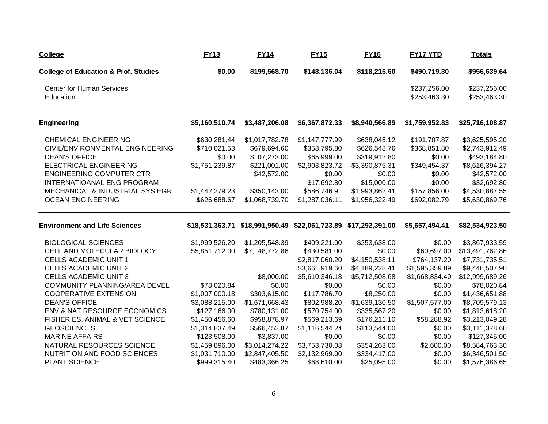| <b>College</b>                                  | <b>FY13</b>     | <b>FY14</b>    | <b>FY15</b>                                     | <b>FY16</b>    | FY17 YTD                     | <b>Totals</b>                |
|-------------------------------------------------|-----------------|----------------|-------------------------------------------------|----------------|------------------------------|------------------------------|
| <b>College of Education &amp; Prof. Studies</b> | \$0.00          | \$199,568.70   | \$148,136.04                                    | \$118,215.60   | \$490,719.30                 | \$956,639.64                 |
| <b>Center for Human Services</b><br>Education   |                 |                |                                                 |                | \$237,256.00<br>\$253,463.30 | \$237,256.00<br>\$253,463.30 |
| <b>Engineering</b>                              | \$5,160,510.74  | \$3,487,206.08 | \$6,367,872.33                                  | \$8,940,566.89 | \$1,759,952.83               | \$25,716,108.87              |
| <b>CHEMICAL ENGINEERING</b>                     | \$630,281.44    | \$1,017,782.78 | \$1,147,777.99                                  | \$638,045.12   | \$191,707.87                 | \$3,625,595.20               |
| CIVIL/ENVIRONMENTAL ENGINEERING                 | \$710,021.53    | \$679,694.60   | \$358,795.80                                    | \$626,548.76   | \$368,851.80                 | \$2,743,912.49               |
| <b>DEAN'S OFFICE</b>                            | \$0.00          | \$107,273.00   | \$65,999.00                                     | \$319,912.80   | \$0.00                       | \$493,184.80                 |
| <b>ELECTRICAL ENGINEERING</b>                   | \$1,751,239.87  | \$221,001.00   | \$2,903,823.72                                  | \$3,390,875.31 | \$349,454.37                 | \$8,616,394.27               |
| <b>ENGINEERING COMPUTER CTR</b>                 |                 | \$42,572.00    | \$0.00                                          | \$0.00         | \$0.00                       | \$42,572.00                  |
| INTERNATIOANAL ENG PROGRAM                      |                 |                | \$17,692.80                                     | \$15,000.00    | \$0.00                       | \$32,692.80                  |
| MECHANICAL & INDUSTRIAL SYS EGR                 | \$1,442,279.23  | \$350,143.00   | \$586,746.91                                    | \$1,993,862.41 | \$157,856.00                 | \$4,530,887.55               |
| <b>OCEAN ENGINEERING</b>                        | \$626,688.67    | \$1,068,739.70 | \$1,287,036.11                                  | \$1,956,322.49 | \$692,082.79                 | \$5,630,869.76               |
| <b>Environment and Life Sciences</b>            | \$18,531,363.71 |                | \$18,991,950.49 \$22,061,723.89 \$17,292,391.00 |                | \$5,657,494.41               | \$82,534,923.50              |
| <b>BIOLOGICAL SCIENCES</b>                      | \$1,999,526.20  | \$1,205,548.39 | \$409,221.00                                    | \$253,638.00   | \$0.00                       | \$3,867,933.59               |
| CELL AND MOLECULAR BIOLOGY                      | \$5,851,712.00  | \$7,148,772.86 | \$430,581.00                                    | \$0.00         | \$60,697.00                  | \$13,491,762.86              |
| <b>CELLS ACADEMIC UNIT 1</b>                    |                 |                | \$2,817,060.20                                  | \$4,150,538.11 | \$764,137.20                 | \$7,731,735.51               |
| <b>CELLS ACADEMIC UNIT 2</b>                    |                 |                | \$3,661,919.60                                  | \$4,189,228.41 | \$1,595,359.89               | \$9,446,507.90               |
| <b>CELLS ACADEMIC UNIT 3</b>                    |                 | \$8,000.00     | \$5,610,346.18                                  | \$5,712,508.68 | \$1,668,834.40               | \$12,999,689.26              |
| COMMUNITY PLANNING/AREA DEVEL                   | \$78,020.84     | \$0.00         | \$0.00                                          | \$0.00         | \$0.00                       | \$78,020.84                  |
| <b>COOPERATIVE EXTENSION</b>                    | \$1,007,000.18  | \$303,615.00   | \$117,786.70                                    | \$8,250.00     | \$0.00                       | \$1,436,651.88               |
| <b>DEAN'S OFFICE</b>                            | \$3,088,215.00  | \$1,671,668.43 | \$802,988.20                                    | \$1,639,130.50 | \$1,507,577.00               | \$8,709,579.13               |
| ENV & NAT RESOURCE ECONOMICS                    | \$127,166.00    | \$780,131.00   | \$570,754.00                                    | \$335,567.20   | \$0.00                       | \$1,813,618.20               |
| FISHERIES, ANIMAL & VET SCIENCE                 | \$1,450,456.60  | \$958,878.97   | \$569,213.69                                    | \$176,211.10   | \$58,288.92                  | \$3,213,049.28               |
| <b>GEOSCIENCES</b>                              | \$1,314,837.49  | \$566,452.87   | \$1,116,544.24                                  | \$113,544.00   | \$0.00                       | \$3,111,378.60               |
| <b>MARINE AFFAIRS</b>                           | \$123,508.00    | \$3,837.00     | \$0.00                                          | \$0.00         | \$0.00                       | \$127,345.00                 |
| NATURAL RESOURCES SCIENCE                       | \$1,459,896.00  | \$3,014,274.22 | \$3,753,730.08                                  | \$354,263.00   | \$2,600.00                   | \$8,584,763.30               |
| NUTRITION AND FOOD SCIENCES                     | \$1,031,710.00  | \$2,847,405.50 | \$2,132,969.00                                  | \$334,417.00   | \$0.00                       | \$6,346,501.50               |
| PLANT SCIENCE                                   | \$999,315.40    | \$483,366.25   | \$68,610.00                                     | \$25,095.00    | \$0.00                       | \$1,576,386.65               |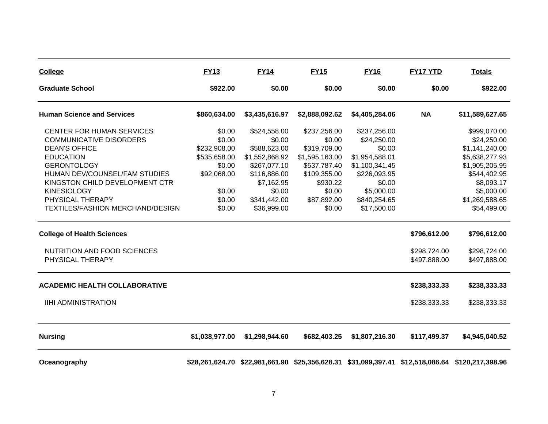| <b>College</b>                          | <b>FY13</b>    | <b>FY14</b>    | <b>FY15</b>    | <b>FY16</b>    | FY17 YTD     | <b>Totals</b>                                                                                    |
|-----------------------------------------|----------------|----------------|----------------|----------------|--------------|--------------------------------------------------------------------------------------------------|
| <b>Graduate School</b>                  | \$922.00       | \$0.00         | \$0.00         | \$0.00         | \$0.00       | \$922.00                                                                                         |
| <b>Human Science and Services</b>       | \$860,634.00   | \$3,435,616.97 | \$2,888,092.62 | \$4,405,284.06 | <b>NA</b>    | \$11,589,627.65                                                                                  |
| <b>CENTER FOR HUMAN SERVICES</b>        | \$0.00         | \$524,558.00   | \$237,256.00   | \$237,256.00   |              | \$999,070.00                                                                                     |
| <b>COMMUNICATIVE DISORDERS</b>          | \$0.00         | \$0.00         | \$0.00         | \$24,250.00    |              | \$24,250.00                                                                                      |
| <b>DEAN'S OFFICE</b>                    | \$232,908.00   | \$588,623.00   | \$319,709.00   | \$0.00         |              | \$1,141,240.00                                                                                   |
| <b>EDUCATION</b>                        | \$535,658.00   | \$1,552,868.92 | \$1,595,163.00 | \$1,954,588.01 |              | \$5,638,277.93                                                                                   |
| <b>GERONTOLOGY</b>                      | \$0.00         | \$267,077.10   | \$537,787.40   | \$1,100,341.45 |              | \$1,905,205.95                                                                                   |
| HUMAN DEV/COUNSEL/FAM STUDIES           | \$92,068.00    | \$116,886.00   | \$109,355.00   | \$226,093.95   |              | \$544,402.95                                                                                     |
| KINGSTON CHILD DEVELOPMENT CTR          |                | \$7,162.95     | \$930.22       | \$0.00         |              | \$8,093.17                                                                                       |
| <b>KINESIOLOGY</b>                      | \$0.00         | \$0.00         | \$0.00         | \$5,000.00     |              | \$5,000.00                                                                                       |
| PHYSICAL THERAPY                        | \$0.00         | \$341,442.00   | \$87,892.00    | \$840,254.65   |              | \$1,269,588.65                                                                                   |
| <b>TEXTILES/FASHION MERCHAND/DESIGN</b> | \$0.00         | \$36,999.00    | \$0.00         | \$17,500.00    |              | \$54,499.00                                                                                      |
| <b>College of Health Sciences</b>       |                |                |                |                | \$796,612.00 | \$796,612.00                                                                                     |
| NUTRITION AND FOOD SCIENCES             |                |                |                |                | \$298,724.00 | \$298,724.00                                                                                     |
| PHYSICAL THERAPY                        |                |                |                |                | \$497,888.00 | \$497,888.00                                                                                     |
| <b>ACADEMIC HEALTH COLLABORATIVE</b>    |                |                |                |                | \$238,333.33 | \$238,333.33                                                                                     |
| <b>IIHI ADMINISTRATION</b>              |                |                |                |                | \$238,333.33 | \$238,333.33                                                                                     |
|                                         |                |                |                |                |              |                                                                                                  |
| <b>Nursing</b>                          | \$1,038,977.00 | \$1,298,944.60 | \$682,403.25   | \$1,807,216.30 | \$117,499.37 | \$4,945,040.52                                                                                   |
| Oceanography                            |                |                |                |                |              | \$28,261,624.70 \$22,981,661.90 \$25,356,628.31 \$31,099,397.41 \$12,518,086.64 \$120,217,398.96 |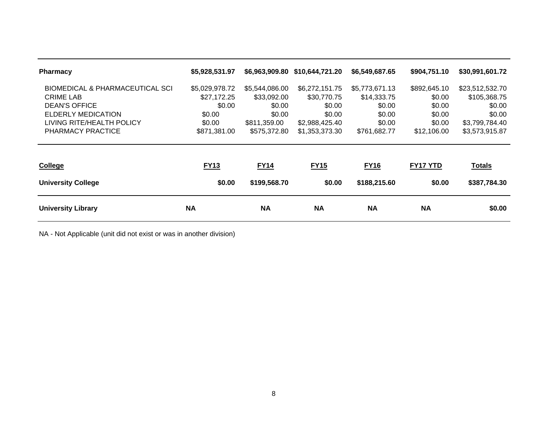| <b>Pharmacy</b>                 | \$5,928,531.97 |                | \$6,963,909.80 \$10,644,721.20 | \$6,549,687.65 | \$904,751.10    | \$30,991,601.72 |
|---------------------------------|----------------|----------------|--------------------------------|----------------|-----------------|-----------------|
| BIOMEDICAL & PHARMACEUTICAL SCI | \$5,029,978.72 | \$5,544,086.00 | \$6,272,151.75                 | \$5,773,671.13 | \$892,645.10    | \$23,512,532.70 |
| <b>CRIME LAB</b>                | \$27,172.25    | \$33,092.00    | \$30,770.75                    | \$14,333.75    | \$0.00          | \$105,368.75    |
| <b>DEAN'S OFFICE</b>            | \$0.00         | \$0.00         | \$0.00                         | \$0.00         | \$0.00          | \$0.00          |
| ELDERLY MEDICATION              | \$0.00         | \$0.00         | \$0.00                         | \$0.00         | \$0.00          | \$0.00          |
| LIVING RITE/HEALTH POLICY       | \$0.00         | \$811,359.00   | \$2,988,425.40                 | \$0.00         | \$0.00          | \$3,799,784.40  |
| PHARMACY PRACTICE               | \$871,381.00   | \$575,372.80   | \$1,353,373.30                 | \$761,682.77   | \$12,106.00     | \$3,573,915.87  |
|                                 |                |                |                                |                |                 |                 |
| <b>College</b>                  | <b>FY13</b>    | <b>FY14</b>    | <b>FY15</b>                    | <b>FY16</b>    | <b>FY17 YTD</b> | <b>Totals</b>   |
| <b>University College</b>       | \$0.00         | \$199,568.70   | \$0.00                         | \$188,215.60   | \$0.00          | \$387,784.30    |
| <b>University Library</b>       | ΝA             | <b>NA</b>      | <b>NA</b>                      | <b>NA</b>      | <b>NA</b>       | \$0.00          |

NA - Not Applicable (unit did not exist or was in another division)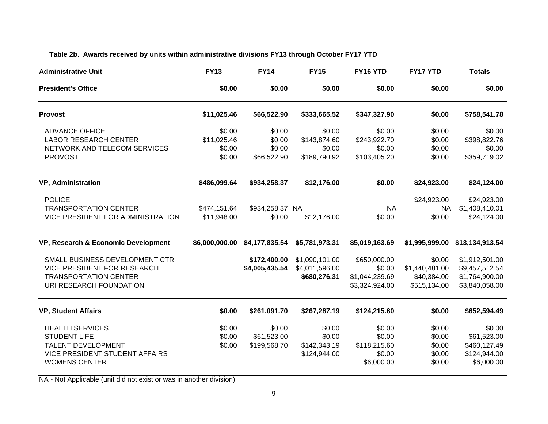### **Table 2b. Awards received by units within administrative divisions FY13 through October FY17 YTD**

| <b>Administrative Unit</b>                                                                                                           | <b>FY13</b>                               | <b>FY14</b>                               | <b>FY15</b>                                      | FY16 YTD                                                   | <b>FY17 YTD</b>                                         | <b>Totals</b>                                                        |
|--------------------------------------------------------------------------------------------------------------------------------------|-------------------------------------------|-------------------------------------------|--------------------------------------------------|------------------------------------------------------------|---------------------------------------------------------|----------------------------------------------------------------------|
| <b>President's Office</b>                                                                                                            | \$0.00                                    | \$0.00                                    | \$0.00                                           | \$0.00                                                     | \$0.00                                                  | \$0.00                                                               |
| <b>Provost</b>                                                                                                                       | \$11,025.46                               | \$66,522.90                               | \$333,665.52                                     | \$347,327.90                                               | \$0.00                                                  | \$758,541.78                                                         |
| <b>ADVANCE OFFICE</b><br><b>LABOR RESEARCH CENTER</b><br>NETWORK AND TELECOM SERVICES<br><b>PROVOST</b>                              | \$0.00<br>\$11,025.46<br>\$0.00<br>\$0.00 | \$0.00<br>\$0.00<br>\$0.00<br>\$66,522.90 | \$0.00<br>\$143,874.60<br>\$0.00<br>\$189,790.92 | \$0.00<br>\$243,922.70<br>\$0.00<br>\$103,405.20           | \$0.00<br>\$0.00<br>\$0.00<br>\$0.00                    | \$0.00<br>\$398,822.76<br>\$0.00<br>\$359,719.02                     |
| <b>VP, Administration</b>                                                                                                            | \$486,099.64                              | \$934,258.37                              | \$12,176.00                                      | \$0.00                                                     | \$24,923.00                                             | \$24,124.00                                                          |
| <b>POLICE</b><br><b>TRANSPORTATION CENTER</b><br>VICE PRESIDENT FOR ADMINISTRATION                                                   | \$474,151.64<br>\$11,948.00               | \$934,258.37 NA<br>\$0.00                 | \$12,176.00                                      | <b>NA</b><br>\$0.00                                        | \$24,923.00<br><b>NA</b><br>\$0.00                      | \$24,923.00<br>\$1,408,410.01<br>\$24,124.00                         |
| VP, Research & Economic Development                                                                                                  | \$6,000,000.00                            | \$4,177,835.54                            | \$5,781,973.31                                   | \$5,019,163.69                                             | \$1,995,999.00                                          | \$13,134,913.54                                                      |
| SMALL BUSINESS DEVELOPMENT CTR<br><b>VICE PRESIDENT FOR RESEARCH</b><br><b>TRANSPORTATION CENTER</b><br>URI RESEARCH FOUNDATION      |                                           | \$172,400.00<br>\$4,005,435.54            | \$1,090,101.00<br>\$4,011,596.00<br>\$680,276.31 | \$650,000.00<br>\$0.00<br>\$1,044,239.69<br>\$3,324,924.00 | \$0.00<br>\$1,440,481.00<br>\$40,384.00<br>\$515,134.00 | \$1,912,501.00<br>\$9,457,512.54<br>\$1,764,900.00<br>\$3,840,058.00 |
| <b>VP, Student Affairs</b>                                                                                                           | \$0.00                                    | \$261,091.70                              | \$267,287.19                                     | \$124,215.60                                               | \$0.00                                                  | \$652,594.49                                                         |
| <b>HEALTH SERVICES</b><br><b>STUDENT LIFE</b><br>TALENT DEVELOPMENT<br><b>VICE PRESIDENT STUDENT AFFAIRS</b><br><b>WOMENS CENTER</b> | \$0.00<br>\$0.00<br>\$0.00                | \$0.00<br>\$61,523.00<br>\$199,568.70     | \$0.00<br>\$0.00<br>\$142,343.19<br>\$124,944.00 | \$0.00<br>\$0.00<br>\$118,215.60<br>\$0.00<br>\$6,000.00   | \$0.00<br>\$0.00<br>\$0.00<br>\$0.00<br>\$0.00          | \$0.00<br>\$61,523.00<br>\$460,127.49<br>\$124,944.00<br>\$6,000.00  |

NA - Not Applicable (unit did not exist or was in another division)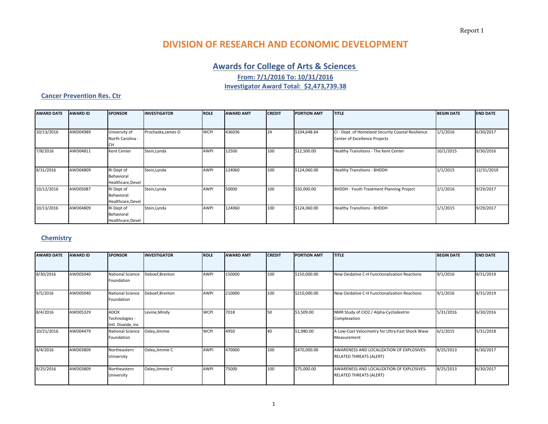Report 1

# **DIVISION OF RESEARCH AND ECONOMIC DEVELOPMENT**

### **Awards for College of Arts & Sciences**

**From: 7/1/2016 To: 10/31/2016**

**Investigator Award Total: \$2,473,739.38**

#### **Cancer Prevention Res. Ctr**

| <b>AWARD DATE</b> | <b>AWARD ID</b> | <b>SPONSOR</b>                                | <b>INVESTIGATOR</b> | <b>ROLE</b> | <b>AWARD AMT</b> | <b>CREDIT</b> | <b>PORTION AMT</b> | <b>TITLE</b>                                                                        | <b>BEGIN DATE</b> | <b>END DATE</b> |
|-------------------|-----------------|-----------------------------------------------|---------------------|-------------|------------------|---------------|--------------------|-------------------------------------------------------------------------------------|-------------------|-----------------|
|                   |                 |                                               |                     |             |                  |               |                    |                                                                                     |                   |                 |
| 10/13/2016        | AWD04989        | University of<br>North Carolina -             | Prochaska, James O  | <b>WCPI</b> | 436036           | 24            | \$104,648.64       | CI - Dept. of Homeland Security Coastal Resilience<br>Center of Excellence Projects | 1/1/2016          | 6/30/2017       |
| 7/8/2016          | AWD04811        | Kent Center                                   | Stein, Lynda        | <b>AWPI</b> | 12500            | 100           | \$12,500.00        | Healthy Transitions - The Kent Center                                               | 10/1/2015         | 9/30/2016       |
| 8/31/2016         | AWD04809        | RI Dept of<br>Behavioral<br>Healthcare, Devel | Stein, Lynda        | <b>AWPI</b> | 124060           | 100           | \$124,060.00       | <b>Healthy Transitions - BHDDH</b>                                                  | 1/1/2015          | 12/31/2019      |
| 10/12/2016        | AWD05087        | RI Dept of<br>Behavioral<br>Healthcare, Devel | Stein, Lynda        | <b>AWP</b>  | 50000            | 100           | \$50,000.00        | BHDDH - Youth Treatment Planning Project                                            | 2/1/2016          | 9/29/2017       |
| 10/13/2016        | AWD04809        | RI Dept of<br>Behavioral<br>Healthcare, Devel | Stein, Lynda        | <b>AWPI</b> | 124060           | 100           | \$124,060.00       | <b>Healthy Transitions - BHDDH</b>                                                  | 1/1/2015          | 9/29/2017       |

### **Chemistry**

| <b>AWARD DATE</b> | <b>AWARD ID</b> | <b>SPONSOR</b>                                      | <b>INVESTIGATOR</b> | <b>ROLE</b> | <b>AWARD AMT</b> | <b>CREDIT</b> | <b>PORTION AMT</b> | <b>TITLE</b>                                                                | <b>BEGIN DATE</b> | <b>END DATE</b> |
|-------------------|-----------------|-----------------------------------------------------|---------------------|-------------|------------------|---------------|--------------------|-----------------------------------------------------------------------------|-------------------|-----------------|
|                   |                 |                                                     |                     |             |                  |               |                    |                                                                             |                   |                 |
| 8/30/2016         | AWD05040        | <b>National Science</b><br>Foundation               | Deboef, Brenton     | AWPI        | 150000           | 100           | \$150,000.00       | New Oxidative C-H Functionalization Reactions                               | 9/1/2016          | 8/31/2019       |
| 9/5/2016          | AWD05040        | <b>National Science</b><br>Foundation               | Deboef, Brenton     | <b>AWPI</b> | 210000           | 100           | \$210,000.00       | New Oxidative C-H Functionalization Reactions                               | 9/1/2016          | 8/31/2019       |
| 8/4/2016          | AWD05329        | <b>ADOX</b><br>Technologies -<br>Intl. Dioxide, Inc | Levine, Mindy       | <b>WCPI</b> | 7018             | <b>150</b>    | \$3,509.00         | NMR Study of CIO2 / Alpha-Cyclodextrin<br>Complexation                      | 5/31/2016         | 6/30/2016       |
| 10/21/2016        | AWD04479        | <b>National Science</b><br>Foundation               | Oxley, Jimmie       | <b>WCPI</b> | 4950             | 40            | \$1,980.00         | A Low-Cost Velocimetry for Ultra-Fast Shock Wave<br>Measurement             | 6/1/2015          | 5/31/2018       |
| 8/4/2016          | AWD03809        | Northeastern<br>University                          | Oxley, Jimmie C     | <b>AWPI</b> | 470000           | 100           | \$470,000.00       | AWARENESS AND LOCALIZATION OF EXPLOSIVES-<br><b>RELATED THREATS (ALERT)</b> | 8/25/2013         | 6/30/2017       |
| 8/25/2016         | AWD03809        | Northeastern<br>University                          | Oxley, Jimmie C     | <b>AWPI</b> | 75000            | 100           | \$75,000.00        | AWARENESS AND LOCALIZATION OF EXPLOSIVES-<br><b>RELATED THREATS (ALERT)</b> | 8/25/2013         | 6/30/2017       |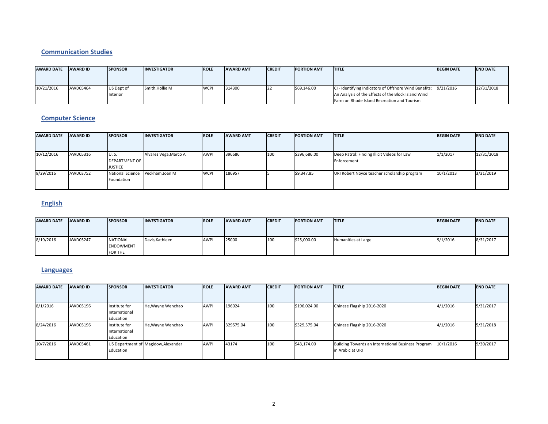#### **Communication Studies**

| <b>AWARD DATE</b> | <b>AWARD ID</b> | <b>ISPONSOR</b>        | <b>INVESTIGATOR</b> | <b>ROLE</b> | <b>AWARD AMT</b> | <b>ICREDIT</b> | <b>PORTION AMT</b> | <b>ITITLE</b>                                                                                                                                                          | <b>BEGIN DATE</b> | <b>IEND DATE</b> |
|-------------------|-----------------|------------------------|---------------------|-------------|------------------|----------------|--------------------|------------------------------------------------------------------------------------------------------------------------------------------------------------------------|-------------------|------------------|
| 10/21/2016        | AWD05464        | US Dept of<br>Interior | Smith.Hollie M      | <b>WCPI</b> | 314300           | 122            | \$69,146.00        | CI - Identifying Indicators of Offshore Wind Benefits: 9/21/2016<br>An Analysis of the Effects of the Block Island Wind<br>Farm on Rhode Island Recreation and Tourism |                   | 12/31/2018       |

### **Computer Science**

| <b>AWARD DATE</b> | <b>AWARD ID</b> | <b>SPONSOR</b>                                 | <b>INVESTIGATOR</b>   | <b>ROLE</b> | <b>AWARD AMT</b> | <b>CREDIT</b> | <b>PORTION AMT</b> | <b>ITITLE</b>                                              | <b>BEGIN DATE</b> | <b>END DATE</b> |
|-------------------|-----------------|------------------------------------------------|-----------------------|-------------|------------------|---------------|--------------------|------------------------------------------------------------|-------------------|-----------------|
| 10/12/2016        | AWD05316        | U.S.<br><b>DEPARTMENT OF</b><br><b>JUSTICE</b> | Alvarez Vega, Marco A | <b>AWP</b>  | 396686           | 100           | \$396,686.00       | Deep Patrol: Finding Illicit Videos for Law<br>Enforcement | 1/1/2017          | 12/31/2018      |
| 8/29/2016         | AWD03752        | <b>National Science</b><br>Foundation          | Peckham, Joan M       | <b>WCPI</b> | 186957           |               | \$9,347.85         | URI Robert Noyce teacher scholarship program               | 10/1/2013         | 3/31/2019       |

### **English**

| <b>AWARD DATE</b> | <b>AWARD ID</b> | <b>SPONSOR</b>   | <b>INVESTIGATOR</b> | <b>ROLE</b> | <b>AWARD AMT</b> | <b>CREDIT</b> | <b>PORTION AMT</b> | <b>ITITLE</b>       | <b>BEGIN DATE</b> | <b>END DATE</b> |
|-------------------|-----------------|------------------|---------------------|-------------|------------------|---------------|--------------------|---------------------|-------------------|-----------------|
|                   |                 |                  |                     |             |                  |               |                    |                     |                   |                 |
|                   |                 |                  |                     |             |                  |               |                    |                     |                   |                 |
| 8/19/2016         | AWD05247        | <b>NATIONAL</b>  | Davis, Kathleen     | <b>AWPI</b> | 25000            | 100           | \$25,000.00        | Humanities at Large | 9/1/2016          | 8/31/2017       |
|                   |                 | <b>ENDOWMENT</b> |                     |             |                  |               |                    |                     |                   |                 |
|                   |                 | <b>FOR THE</b>   |                     |             |                  |               |                    |                     |                   |                 |

### **Languages**

| <b>AWARD DATE</b> | <b>AWARD ID</b> | <b>SPONSOR</b>                              | <b>INVESTIGATOR</b>                 | <b>ROLE</b> | <b>AWARD AMT</b> | <b>CREDIT</b> | <b>PORTION AMT</b> | <b>ITITLE</b>                                                          | <b>BEGIN DATE</b> | <b>END DATE</b> |
|-------------------|-----------------|---------------------------------------------|-------------------------------------|-------------|------------------|---------------|--------------------|------------------------------------------------------------------------|-------------------|-----------------|
|                   |                 |                                             |                                     |             |                  |               |                    |                                                                        |                   |                 |
| 8/1/2016          | AWD05196        | Institute for<br>International<br>Education | He, Wayne Wenchao                   | <b>AWPI</b> | 196024           | 100           | \$196,024.00       | Chinese Flagship 2016-2020                                             | 4/1/2016          | 5/31/2017       |
| 8/24/2016         | AWD05196        | Institute for<br>International<br>Education | He, Wayne Wenchao                   | AWPI        | 329575.04        | 100           | \$329,575.04       | Chinese Flagship 2016-2020                                             | 4/1/2016          | 5/31/2018       |
| 10/7/2016         | AWD05461        | Education                                   | US Department of Magidow, Alexander | <b>AWPI</b> | 43174            | 100           | \$43,174.00        | Building Towards an International Business Program<br>in Arabic at URI | 10/1/2016         | 9/30/2017       |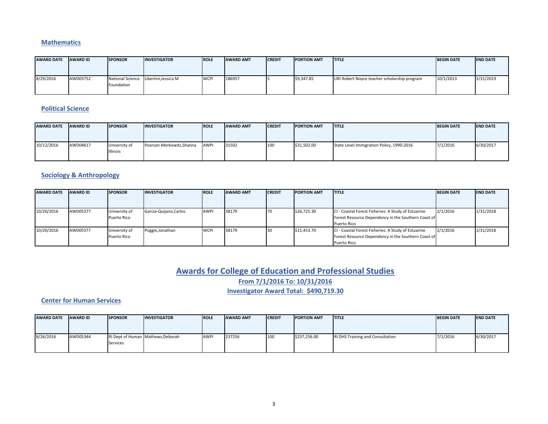#### **Mathematics**

| <b>AWARD DATE</b> | <b>AWARD ID</b> | <b>SPONSOR</b> | <b>INVESTIGATOR</b>                   | <b>ROLE</b> | <b>AWARD AMT</b> | <b>CREDIT</b> | <b>PORTION AMT</b> | <b>TITLE</b>                                 | <b>BEGIN DATE</b> | <b>END DATE</b> |
|-------------------|-----------------|----------------|---------------------------------------|-------------|------------------|---------------|--------------------|----------------------------------------------|-------------------|-----------------|
| 8/29/2016         | AWD03752        | Foundation     | National Science Libertini, Jessica M | <b>WCPI</b> | 186957           |               | \$9,347.85         | URI Robert Noyce teacher scholarship program | 10/1/2013         | 3/31/2019       |

#### **Political Science**

| <b>AWARD DATE</b> | <b>AWARD ID</b> | <b>ISPONSOR</b>           | <b>INVESTIGATOR</b>       | <b>ROLE</b> | <b>AWARD AMT</b> | <b>ICREDIT</b> | <b>PORTION AMT</b> | <b>ITITLE</b>                             | <b>BEGIN DATE</b> | <b>END DATE</b> |
|-------------------|-----------------|---------------------------|---------------------------|-------------|------------------|----------------|--------------------|-------------------------------------------|-------------------|-----------------|
| 10/12/2016        | AWD04617        | University of<br>Illinois | Pearson-Merkowitz, Shanna | AWPI        | 31502            | 100            | \$31,502.00        | State Level Immigration Policy, 1990-2016 | 7/1/2016          | 6/30/2017       |

### **Sociology & Anthropology**

| <b>AWARD DATE</b> | <b>AWARD ID</b> | <b>SPONSOR</b> | <b>INVESTIGATOR</b>    | <b>ROLE</b> | <b>AWARD AMT</b> | <b>CREDIT</b> | <b>IPORTION AMT</b> | <b>ITITLE</b>                                       | <b>BEGIN DATE</b> | <b>END DATE</b> |
|-------------------|-----------------|----------------|------------------------|-------------|------------------|---------------|---------------------|-----------------------------------------------------|-------------------|-----------------|
|                   |                 |                |                        |             |                  |               |                     |                                                     |                   |                 |
| 10/20/2016        | AWD05377        | University of  | Garcia-Quijano, Carlos | <b>AWPI</b> | 38179            | 170           | \$26,725.30         | CI - Coastal Forest Fisheries: A Study of Estuarine | 2/1/2016          | 1/31/2018       |
|                   |                 | Puerto Rico    |                        |             |                  |               |                     | Forest Resource Dependency in the Southern Coast of |                   |                 |
|                   |                 |                |                        |             |                  |               |                     | Puerto Rico                                         |                   |                 |
| 10/20/2016        | AWD05377        | University of  | Poggie, Jonathan       | <b>WCPI</b> | 38179            |               | \$11,453.70         | CI - Coastal Forest Fisheries: A Study of Estuarine | 2/1/2016          | 1/31/2018       |
|                   |                 | Puerto Rico    |                        |             |                  |               |                     | Forest Resource Dependency in the Southern Coast of |                   |                 |
|                   |                 |                |                        |             |                  |               |                     | Puerto Rico                                         |                   |                 |

### **Awards for College of Education and Professional Studies From 7/1/2016 To: 10/31/2016**

**Investigator Award Total: \$490,719.30**

#### **Center for Human Services**

| <b>AWARD DATE</b> | <b>AWARD ID</b> | <b>SPONSOR</b> | <b>INVESTIGATOR</b>               | <b>ROLE</b> | <b>AWARD AMT</b> | <b>CREDIT</b> | <b>PORTION AMT</b> | <b>ITITLE</b>                           | <b>BEGIN DATE</b> | <b>IEND DATE</b> |
|-------------------|-----------------|----------------|-----------------------------------|-------------|------------------|---------------|--------------------|-----------------------------------------|-------------------|------------------|
|                   |                 |                |                                   |             |                  |               |                    |                                         |                   |                  |
|                   |                 |                |                                   |             |                  |               |                    |                                         |                   |                  |
| 8/26/2016         | AWD05344        |                | RI Dept of Human Mathews, Deborah | <b>AWPI</b> | 237256           | 100           | \$237,256.00       | <b>RI DHS Training and Consultation</b> | 7/1/2016          | 6/30/2017        |
|                   |                 | Services       |                                   |             |                  |               |                    |                                         |                   |                  |
|                   |                 |                |                                   |             |                  |               |                    |                                         |                   |                  |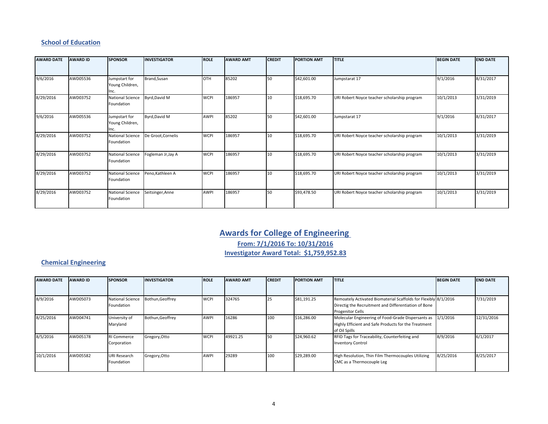#### **School of Education**

| <b>AWARD DATE</b> | <b>AWARD ID</b> | <b>SPONSOR</b>                           | <b>INVESTIGATOR</b> | <b>ROLE</b> | <b>AWARD AMT</b> | <b>CREDIT</b> | <b>PORTION AMT</b> | <b>TITLE</b>                                 | <b>BEGIN DATE</b> | <b>END DATE</b> |
|-------------------|-----------------|------------------------------------------|---------------------|-------------|------------------|---------------|--------------------|----------------------------------------------|-------------------|-----------------|
|                   |                 |                                          |                     |             |                  |               |                    |                                              |                   |                 |
| 9/6/2016          | AWD05536        | Jumpstart for<br>Young Children,<br>Inc. | Brand, Susan        | OTH         | 85202            | 50            | \$42,601.00        | Jumpstarat 17                                | 9/1/2016          | 8/31/2017       |
| 8/29/2016         | AWD03752        | <b>National Science</b><br>Foundation    | Byrd, David M       | <b>WCPI</b> | 186957           | 10            | \$18,695.70        | URI Robert Noyce teacher scholarship program | 10/1/2013         | 3/31/2019       |
| 9/6/2016          | AWD05536        | Jumpstart for<br>Young Children,<br>Inc. | Byrd, David M       | <b>AWPI</b> | 85202            | 50            | \$42,601.00        | Jumpstarat 17                                | 9/1/2016          | 8/31/2017       |
| 8/29/2016         | AWD03752        | <b>National Science</b><br>Foundation    | De Groot, Cornelis  | <b>WCPI</b> | 186957           | 10            | \$18,695.70        | URI Robert Noyce teacher scholarship program | 10/1/2013         | 3/31/2019       |
| 8/29/2016         | AWD03752        | <b>National Science</b><br>Foundation    | Fogleman Jr, Jay A  | <b>WCPI</b> | 186957           | 10            | \$18,695.70        | URI Robert Noyce teacher scholarship program | 10/1/2013         | 3/31/2019       |
| 8/29/2016         | AWD03752        | <b>National Science</b><br>Foundation    | Peno, Kathleen A    | <b>WCPI</b> | 186957           | 10            | \$18,695.70        | URI Robert Noyce teacher scholarship program | 10/1/2013         | 3/31/2019       |
| 8/29/2016         | AWD03752        | <b>National Science</b><br>Foundation    | Seitsinger, Anne    | <b>AWPI</b> | 186957           | 50            | \$93,478.50        | URI Robert Noyce teacher scholarship program | 10/1/2013         | 3/31/2019       |

### **Awards for College of Engineering**

**From: 7/1/2016 To: 10/31/2016 Investigator Award Total: \$1,759,952.83**

#### **Chemical Engineering**

| <b>AWARD DATE</b> | <b>AWARD ID</b> | <b>SPONSOR</b>          | <b>INVESTIGATOR</b> | <b>ROLE</b> | <b>AWARD AMT</b> | <b>CREDIT</b> | <b>PORTION AMT</b> | <b>ITITLE</b>                                                   | <b>BEGIN DATE</b> | <b>END DATE</b> |
|-------------------|-----------------|-------------------------|---------------------|-------------|------------------|---------------|--------------------|-----------------------------------------------------------------|-------------------|-----------------|
|                   |                 |                         |                     |             |                  |               |                    |                                                                 |                   |                 |
| 8/9/2016          | AWD05073        | <b>National Science</b> | Bothun, Geoffrey    | <b>WCPI</b> | 324765           | 25            | \$81,191.25        | Remoately Activated Biomaterial Scaffolds for Flexibly 8/1/2016 |                   | 7/31/2019       |
|                   |                 | Foundation              |                     |             |                  |               |                    | Directig the Recruitment and Differentiation of Bone            |                   |                 |
|                   |                 |                         |                     |             |                  |               |                    | <b>Progenitor Cells</b>                                         |                   |                 |
| 8/25/2016         | AWD04741        | University of           | Bothun, Geoffrey    | <b>AWPI</b> | 16286            | 100           | \$16,286.00        | Molecular Engineering of Food-Grade Dispersants as 1/1/2016     |                   | 12/31/2016      |
|                   |                 | Maryland                |                     |             |                  |               |                    | Highly Efficient and Safe Products for the Treatment            |                   |                 |
|                   |                 |                         |                     |             |                  |               |                    | of Oil Spills                                                   |                   |                 |
| 8/5/2016          | AWD05178        | <b>RI Commerce</b>      | Gregory, Otto       | <b>WCPI</b> | 49921.25         | 50            | \$24,960.62        | RFID Tags for Traceability, Counterfeiting and                  | 8/9/2016          | 6/1/2017        |
|                   |                 | Corporation             |                     |             |                  |               |                    | <b>Inventory Control</b>                                        |                   |                 |
| 10/1/2016         | AWD05582        | <b>URI Research</b>     | Gregory, Otto       | <b>AWPI</b> | 29289            | 100           | \$29,289.00        | High Resolution, Thin Film Thermocouples Utilizing              | 8/25/2016         | 8/25/2017       |
|                   |                 | Foundation              |                     |             |                  |               |                    | CMC as a Thermocouple Leg                                       |                   |                 |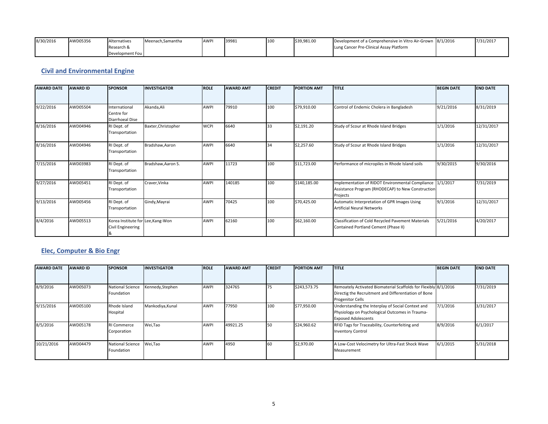| 8/30/2016 | AWD05356 | Alternatives    | Meenach.Samantha | <b>AWPI</b> | 39981 | 100 | \$39,981.00 | Development of a Comprehensive in Vitro Air-Grown 8/1/2016 | 7/31/2017 |
|-----------|----------|-----------------|------------------|-------------|-------|-----|-------------|------------------------------------------------------------|-----------|
|           |          | Research &      |                  |             |       |     |             | Lung Cancer Pre-Clinical Assay Platform                    |           |
|           |          | Development Fou |                  |             |       |     |             |                                                            |           |

#### **Civil and Environmental Engine**

| <b>AWARD DATE</b> | <b>AWARD ID</b> | <b>SPONSOR</b>                                         | <b>INVESTIGATOR</b> | <b>ROLE</b> | <b>AWARD AMT</b> | <b>CREDIT</b> | <b>PORTION AMT</b> | <b>TITLE</b>                                                                                                      | <b>BEGIN DATE</b> | <b>END DATE</b> |
|-------------------|-----------------|--------------------------------------------------------|---------------------|-------------|------------------|---------------|--------------------|-------------------------------------------------------------------------------------------------------------------|-------------------|-----------------|
|                   |                 |                                                        |                     |             |                  |               |                    |                                                                                                                   |                   |                 |
| 9/22/2016         | AWD05504        | International<br>Centre for<br>Diarrhoeal Dise         | Akanda, Ali         | AWPI        | 79910            | 100           | \$79,910.00        | Control of Endemic Cholera in Bangladesh                                                                          | 9/21/2016         | 8/31/2019       |
| 8/16/2016         | AWD04946        | RI Dept. of<br>Transportation                          | Baxter, Christopher | <b>WCPI</b> | 6640             | 33            | \$2,191.20         | Study of Scour at Rhode Island Bridges                                                                            | 1/1/2016          | 12/31/2017      |
| 8/16/2016         | AWD04946        | RI Dept. of<br>Transportation                          | Bradshaw, Aaron     | AWPI        | 6640             | 34            | \$2,257.60         | Study of Scour at Rhode Island Bridges                                                                            | 1/1/2016          | 12/31/2017      |
| 7/15/2016         | AWD03983        | RI Dept. of<br>Transportation                          | Bradshaw, Aaron S.  | AWPI        | 11723            | 100           | \$11,723.00        | Performance of micropiles in Rhode Island soils                                                                   | 9/30/2015         | 9/30/2016       |
| 9/27/2016         | AWD05451        | RI Dept. of<br>Transportation                          | Craver, Vinka       | AWPI        | 140185           | 100           | \$140,185.00       | Implementation of RIDOT Environmental Compliance<br>Assistance Program (RHODECAP) to New Construction<br>Projects | 1/1/2017          | 7/31/2019       |
| 9/13/2016         | AWD05456        | RI Dept. of<br>Transportation                          | Gindy, Mayrai       | AWPI        | 70425            | 100           | \$70,425.00        | Automatic Interpretation of GPR Images Using<br><b>Artificial Neural Networks</b>                                 | 9/1/2016          | 12/31/2017      |
| 8/4/2016          | AWD05513        | Korea Institute for Lee, Kang-Won<br>Civil Engineering |                     | AWPI        | 62160            | 100           | \$62,160.00        | Classification of Cold Recycled Pavement Materials<br>Contained Portland Cement (Phase II)                        | 5/21/2016         | 4/20/2017       |

#### **Elec, Computer & Bio Engr**

| <b>AWARD DATE</b> | <b>AWARD ID</b> | <b>SPONSOR</b>                        | <b>INVESTIGATOR</b> | <b>ROLE</b> | <b>AWARD AMT</b> | <b>CREDIT</b> | <b>PORTION AMT</b> | <b>ITITLE</b>                                                                                                                                      | <b>BEGIN DATE</b> | <b>END DATE</b> |
|-------------------|-----------------|---------------------------------------|---------------------|-------------|------------------|---------------|--------------------|----------------------------------------------------------------------------------------------------------------------------------------------------|-------------------|-----------------|
|                   |                 |                                       |                     |             |                  |               |                    |                                                                                                                                                    |                   |                 |
| 8/9/2016          | AWD05073        | National Science<br>Foundation        | Kennedy,Stephen     | <b>AWPI</b> | 324765           | 75            | \$243,573.75       | Remoately Activated Biomaterial Scaffolds for Flexibly 8/1/2016<br>Directig the Recruitment and Differentiation of Bone<br><b>Progenitor Cells</b> |                   | 7/31/2019       |
| 9/15/2016         | AWD05100        | Rhode Island<br>Hospital              | Mankodiya, Kunal    | <b>AWPI</b> | 77950            | 100           | \$77,950.00        | Understanding the Interplay of Social Context and<br>Physiology on Psychological Outcomes in Trauma-<br><b>Exposed Adolescents</b>                 | 7/1/2016          | 3/31/2017       |
| 8/5/2016          | AWD05178        | <b>RI Commerce</b><br>Corporation     | Wei,Tao             | <b>AWPI</b> | 49921.25         | <b>50</b>     | \$24,960.62        | RFID Tags for Traceability, Counterfeiting and<br><b>Inventory Control</b>                                                                         | 8/9/2016          | 6/1/2017        |
| 10/21/2016        | AWD04479        | <b>National Science</b><br>Foundation | Wei,Tao             | <b>AWPI</b> | 4950             |               | \$2,970.00         | A Low-Cost Velocimetry for Ultra-Fast Shock Wave<br>Measurement                                                                                    | 6/1/2015          | 5/31/2018       |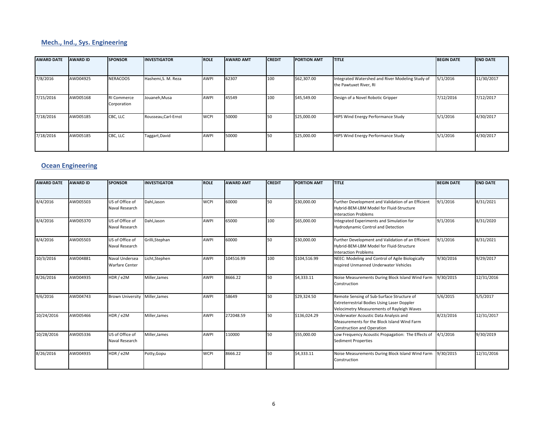### **Mech., Ind., Sys. Engineering**

| <b>AWARD DATE</b> | <b>AWARD ID</b> | <b>SPONSOR</b>                    | <b>INVESTIGATOR</b>  | <b>ROLE</b> | <b>AWARD AMT</b> | <b>CREDIT</b> | <b>PORTION AMT</b> | <b>TITLE</b>                                                               | <b>BEGIN DATE</b> | <b>END DATE</b> |
|-------------------|-----------------|-----------------------------------|----------------------|-------------|------------------|---------------|--------------------|----------------------------------------------------------------------------|-------------------|-----------------|
|                   |                 |                                   |                      |             |                  |               |                    |                                                                            |                   |                 |
| 7/8/2016          | AWD04925        | <b>NERACOOS</b>                   | Hashemi, S. M. Reza  | AWPI        | 62307            | 100           | \$62,307.00        | Integrated Watershed and River Modeling Study of<br>the Pawtuxet River, RI | 5/1/2016          | 11/30/2017      |
| 7/15/2016         | AWD05168        | <b>RI Commerce</b><br>Corporation | Jouaneh, Musa        | <b>AWPI</b> | 45549            | 100           | \$45,549.00        | Design of a Novel Robotic Gripper                                          | 7/12/2016         | 7/12/2017       |
| 7/18/2016         | AWD05185        | CBC, LLC                          | Rousseau, Carl-Ernst | <b>WCPI</b> | 50000            | 50            | \$25,000.00        | <b>HIPS Wind Energy Performance Study</b>                                  | 5/1/2016          | 4/30/2017       |
| 7/18/2016         | AWD05185        | CBC, LLC                          | Taggart, David       | <b>AWPI</b> | 50000            | 50            | \$25,000.00        | HIPS Wind Energy Performance Study                                         | 5/1/2016          | 4/30/2017       |

#### **Ocean Engineering**

| <b>AWARD DATE</b> | <b>AWARD ID</b> | <b>SPONSOR</b>                          | <b>INVESTIGATOR</b> | <b>ROLE</b> | <b>AWARD AMT</b> | <b>CREDIT</b> | <b>PORTION AMT</b> | <b>TITLE</b>                                                                                                                                   | <b>BEGIN DATE</b> | <b>END DATE</b> |
|-------------------|-----------------|-----------------------------------------|---------------------|-------------|------------------|---------------|--------------------|------------------------------------------------------------------------------------------------------------------------------------------------|-------------------|-----------------|
|                   |                 |                                         |                     |             |                  |               |                    |                                                                                                                                                |                   |                 |
| 8/4/2016          | AWD05503        | US of Office of<br>Naval Research       | Dahl.Jason          | <b>WCPI</b> | 60000            | 50            | \$30,000.00        | Further Development and Validation of an Efficient<br>Hybrid-BEM-LBM Model for Fluid-Structure<br><b>Interaction Problems</b>                  | 9/1/2016          | 8/31/2021       |
| 8/4/2016          | AWD05370        | US of Office of<br>Naval Research       | Dahl.Jason          | <b>AWPI</b> | 65000            | 100           | \$65,000.00        | Integrated Experiments and Simulation for<br>Hydrodynamic Control and Detection                                                                | 9/1/2016          | 8/31/2020       |
| 8/4/2016          | AWD05503        | US of Office of<br>Naval Research       | Grilli, Stephan     | <b>AWPI</b> | 60000            | 50            | \$30,000.00        | Further Development and Validation of an Efficient<br>Hybrid-BEM-LBM Model for Fluid-Structure<br><b>Interaction Problems</b>                  | 9/1/2016          | 8/31/2021       |
| 10/3/2016         | AWD04881        | Naval Undersea<br><b>Warfare Center</b> | Licht, Stephen      | <b>AWPI</b> | 104516.99        | 100           | \$104,516.99       | NEEC: Modeling and Control of Agile Biologically<br>Inspired Unmanned Underwater Vehicles                                                      | 9/30/2016         | 9/29/2017       |
| 8/26/2016         | AWD04935        | HDR/e2M                                 | Miller, James       | <b>AWPI</b> | 8666.22          | 50            | \$4,333.11         | Noise Measurements During Block Island Wind Farm<br>Construction                                                                               | 9/30/2015         | 12/31/2016      |
| 9/6/2016          | AWD04743        | <b>Brown University</b>                 | Miller, James       | <b>AWPI</b> | 58649            | 50            | \$29,324.50        | Remote Sensing of Sub-Surface Structure of<br><b>Extreterrestrial Bodies Using Laser Doppler</b><br>Velocimetry Measurements of Rayleigh Waves | 5/6/2015          | 5/5/2017        |
| 10/24/2016        | AWD05466        | HDR/e2M                                 | Miller, James       | <b>AWPI</b> | 272048.59        | 50            | \$136,024.29       | Underwater Acoustic Data Analysis and<br>Measurements for the Block Island Wind Farm<br><b>Construction and Operation</b>                      | 8/23/2016         | 12/31/2017      |
| 10/28/2016        | AWD05336        | US of Office of<br>Naval Research       | Miller, James       | <b>AWPI</b> | 110000           | 50            | \$55,000.00        | Low Frequency Acoustic Propagation: The Effects of<br><b>Sediment Properties</b>                                                               | 4/1/2016          | 9/30/2019       |
| 8/26/2016         | AWD04935        | HDR / e2M                               | Potty, Gopu         | <b>WCPI</b> | 8666.22          | 50            | \$4,333.11         | Noise Measurements During Block Island Wind Farm<br>Construction                                                                               | 9/30/2015         | 12/31/2016      |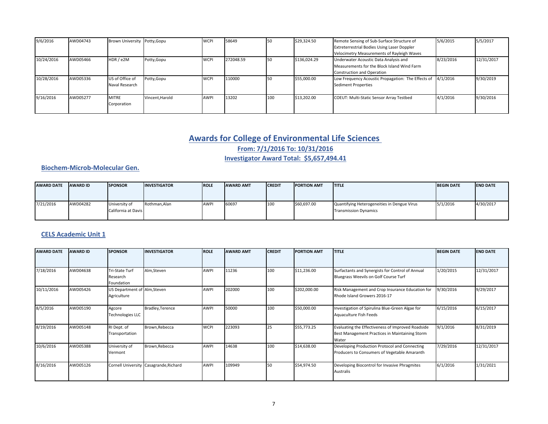| 9/6/2016   | AWD04743 | Brown University Potty, Gopu |                 | <b>WCPI</b> | 58649     |     | \$29,324.50  | Remote Sensing of Sub-Surface Structure of         | 5/6/2015  | 5/5/2017   |
|------------|----------|------------------------------|-----------------|-------------|-----------|-----|--------------|----------------------------------------------------|-----------|------------|
|            |          |                              |                 |             |           |     |              | <b>Extreterrestrial Bodies Using Laser Doppler</b> |           |            |
|            |          |                              |                 |             |           |     |              | Velocimetry Measurements of Rayleigh Waves         |           |            |
| 10/24/2016 | AWD05466 | HDR / e2M                    | Potty,Gopu      | <b>WCPI</b> | 272048.59 |     | \$136,024.29 | Underwater Acoustic Data Analysis and              | 8/23/2016 | 12/31/2017 |
|            |          |                              |                 |             |           |     |              | Measurements for the Block Island Wind Farm        |           |            |
|            |          |                              |                 |             |           |     |              | <b>Construction and Operation</b>                  |           |            |
| 10/28/2016 | AWD05336 | US of Office of              | Potty,Gopu      | <b>WCPI</b> | 110000    |     | \$55,000.00  | Low Frequency Acoustic Propagation: The Effects of | 4/1/2016  | 9/30/2019  |
|            |          | Naval Research               |                 |             |           |     |              | <b>Sediment Properties</b>                         |           |            |
|            |          |                              |                 |             |           |     |              |                                                    |           |            |
| 9/16/2016  | AWD05277 | <b>MITRE</b>                 | Vincent, Harold | <b>AWPI</b> | 13202     | 100 | \$13,202.00  | <b>COEUT: Multi-Static Sensor Array Testbed</b>    | 4/1/2016  | 9/30/2016  |
|            |          | Corporation                  |                 |             |           |     |              |                                                    |           |            |
|            |          |                              |                 |             |           |     |              |                                                    |           |            |

### **Awards for College of Environmental Life Sciences**

**From: 7/1/2016 To: 10/31/2016**

**Investigator Award Total: \$5,657,494.41**

#### **Biochem‐Microb‐Molecular Gen.**

| <b>AWARD DATE</b> | <b>AWARD ID</b> | <b>SPONSOR</b>                       | <b>INVESTIGATOR</b> | <b>ROLE</b> | <b>AWARD AMT</b> | <b>CREDIT</b> | <b>IPORTION AMT</b> | <b>ITITLE</b>                                                               | <b>BEGIN DATE</b> | <b>IEND DATE</b> |
|-------------------|-----------------|--------------------------------------|---------------------|-------------|------------------|---------------|---------------------|-----------------------------------------------------------------------------|-------------------|------------------|
|                   |                 |                                      |                     |             |                  |               |                     |                                                                             |                   |                  |
| 7/21/2016         | AWD04282        | University of<br>California at Davis | Rothman.Alan        | <b>AWPI</b> | 60697            | 100           | \$60,697.00         | Quantifying Heterogeneities in Dengue Virus<br><b>Transmission Dynamics</b> | 5/1/2016          | 4/30/2017        |

#### **CELS Academic Unit 1**

| <b>AWARD DATE</b> | <b>AWARD ID</b> | <b>SPONSOR</b>                              | <b>INVESTIGATOR</b>                    | <b>ROLE</b> | <b>AWARD AMT</b> | <b>CREDIT</b> | <b>PORTION AMT</b> | <b>TITLE</b>                                                                                                 | <b>BEGIN DATE</b> | <b>END DATE</b> |
|-------------------|-----------------|---------------------------------------------|----------------------------------------|-------------|------------------|---------------|--------------------|--------------------------------------------------------------------------------------------------------------|-------------------|-----------------|
|                   |                 |                                             |                                        |             |                  |               |                    |                                                                                                              |                   |                 |
| 7/18/2016         | AWD04638        | Tri-State Turf<br>Research<br>Foundation    | Alm, Steven                            | <b>AWPI</b> | 11236            | 100           | \$11,236.00        | Surfactants and Synergists for Control of Annual<br>Bluegrass Weevils on Golf Course Turf                    | 1/20/2015         | 12/31/2017      |
| 10/11/2016        | AWD05426        | US Department of Alm, Steven<br>Agriculture |                                        | <b>AWPI</b> | 202000           | 100           | \$202,000.00       | Risk Management and Crop Insurance Education for<br>Rhode Island Growers 2016-17                             | 9/30/2016         | 9/29/2017       |
| 8/5/2016          | AWD05190        | Agcore<br><b>Technologies LLC</b>           | Bradley, Terence                       | AWPI        | 50000            | 100           | \$50,000.00        | Investigation of Spirulina Blue-Green Algae for<br>Aquaculture Fish Feeds                                    | 6/15/2016         | 6/15/2017       |
| 8/19/2016         | AWD05148        | RI Dept. of<br>Transportation               | Brown, Rebecca                         | <b>WCPI</b> | 223093           | 25            | \$55,773.25        | Evaluating the Effectiveness of Improved Roadside<br>Best Management Practices in Maintaining Storm<br>Water | 9/1/2016          | 8/31/2019       |
| 10/6/2016         | AWD05388        | University of<br>Vermont                    | Brown, Rebecca                         | AWPI        | 14638            | 100           | \$14,638.00        | Developing Production Protocol and Connecting<br>Producers to Consumers of Vegetable Amaranth                | 7/29/2016         | 12/31/2017      |
| 8/16/2016         | AWD05126        |                                             | Cornell University Casagrande, Richard | AWPI        | 109949           | 50            | \$54,974.50        | Developing Biocontrol for Invasive Phragmites<br>Australis                                                   | 6/1/2016          | 1/31/2021       |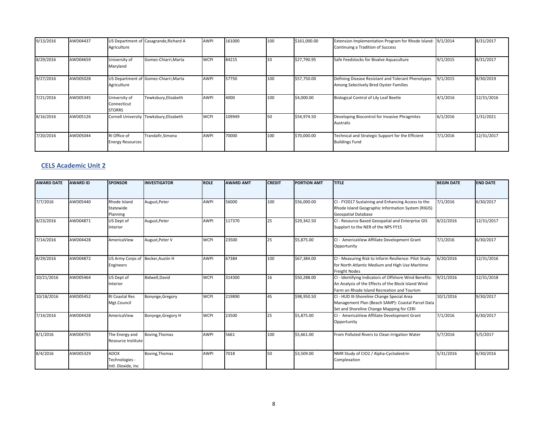| 9/13/2016 | AWD04437 | Agriculture                                   | US Department of Casagrande, Richard A  | <b>AWPI</b> | 161000 | 100 | \$161,000.00 | Extension Implementation Program for Rhode Island: 9/1/2014<br>Continuing a Tradition of Success |          | 8/31/2017  |
|-----------|----------|-----------------------------------------------|-----------------------------------------|-------------|--------|-----|--------------|--------------------------------------------------------------------------------------------------|----------|------------|
| 8/29/2016 | AWD04659 | University of<br>Maryland                     | Gomez-Chiarri, Marta                    | <b>WCPI</b> | 84215  | 33  | \$27,790.95  | Safe Feedstocks for Bivalve Aquaculture                                                          | 9/1/2015 | 8/31/2017  |
| 9/27/2016 | AWD05028 | Agriculture                                   | US Department of Gomez-Chiarri, Marta   | <b>AWPI</b> | 57750  | 100 | \$57,750.00  | Defining Disease Resistant and Tolerant Phenotypes<br>Among Selectively Bred Oyster Families     | 9/1/2015 | 8/30/2019  |
| 7/21/2016 | AWD05345 | University of<br>Connecticut<br><b>STORRS</b> | Tewksbury, Elizabeth                    | <b>AWPI</b> | 4000   | 100 | \$4,000.00   | <b>Biological Control of Lily Leaf Beetle</b>                                                    | 4/1/2016 | 12/31/2016 |
| 8/16/2016 | AWD05126 |                                               | Cornell University Tewksbury, Elizabeth | <b>WCPI</b> | 109949 | 150 | \$54,974.50  | Developing Biocontrol for Invasive Phragmites<br>Australis                                       | 6/1/2016 | 1/31/2021  |
| 7/20/2016 | AWD05044 | RI Office of<br><b>Energy Resources</b>       | Trandafir, Simona                       | <b>AWPI</b> | 70000  | 100 | \$70,000.00  | Technical and Strategic Support for the Efficient<br><b>Buildings Fund</b>                       | 7/1/2016 | 12/31/2017 |

#### **CELS Academic Unit 2**

| <b>AWARD DATE</b> | <b>AWARD ID</b> | <b>SPONSOR</b>        | <b>INVESTIGATOR</b> | <b>ROLE</b> | <b>AWARD AMT</b> | <b>CREDIT</b> | <b>PORTION AMT</b> | <b>TITLE</b>                                           | <b>BEGIN DATE</b> | <b>END DATE</b> |
|-------------------|-----------------|-----------------------|---------------------|-------------|------------------|---------------|--------------------|--------------------------------------------------------|-------------------|-----------------|
|                   |                 |                       |                     |             |                  |               |                    |                                                        |                   |                 |
| 7/7/2016          | AWD05440        | Rhode Island          | August, Peter       | <b>AWPI</b> | 56000            | 100           | \$56,000.00        | CI - FY2017 Sustaining and Enhancing Access to the     | 7/1/2016          | 6/30/2017       |
|                   |                 | Statewide             |                     |             |                  |               |                    | Rhode Island Geographic Information System (RIGIS)     |                   |                 |
|                   |                 | Planning              |                     |             |                  |               |                    | <b>Geospatial Database</b>                             |                   |                 |
| 8/23/2016         | AWD04871        | US Dept of            | August, Peter       | <b>AWPI</b> | 117370           | 25            | \$29,342.50        | CI - Resource Based Geospatial and Enterprise GIS      | 8/22/2016         | 12/31/2017      |
|                   |                 | Interior              |                     |             |                  |               |                    | Supplort to the NER of the NPS FY15                    |                   |                 |
| 7/14/2016         | AWD04428        | AmericaView           | August, Peter V     | <b>WCPI</b> | 23500            | 25            | \$5,875.00         | CI - AmericaView Affiliate Development Grant           | 7/1/2016          | 6/30/2017       |
|                   |                 |                       |                     |             |                  |               |                    | Opportunity                                            |                   |                 |
| 8/29/2016         | AWD04872        | US Army Corps of      | Becker, Austin H    | <b>AWPI</b> | 67384            | 100           | \$67,384.00        | CI - Measuring Risk to Inform Resilience: Pilot Study  | 6/20/2016         | 12/31/2016      |
|                   |                 | Engineers             |                     |             |                  |               |                    | for North Atlantic Medium and High Use Maritime        |                   |                 |
|                   |                 |                       |                     |             |                  |               |                    | <b>Freight Nodes</b>                                   |                   |                 |
| 10/21/2016        | AWD05464        | US Dept of            | Bidwell, David      | <b>WCPI</b> | 314300           | 16            | \$50,288.00        | CI - Identifying Indicators of Offshore Wind Benefits: | 9/21/2016         | 12/31/2018      |
|                   |                 | Interior              |                     |             |                  |               |                    | An Analysis of the Effects of the Block Island Wind    |                   |                 |
|                   |                 |                       |                     |             |                  |               |                    | Farm on Rhode Island Recreation and Tourism            |                   |                 |
| 10/18/2016        | AWD05452        | <b>RI Coastal Res</b> | Bonynge, Gregory    | <b>WCPI</b> | 219890           | 45            | \$98,950.50        | CI - HUD III-Shoreline Change Special Area             | 10/1/2016         | 9/30/2017       |
|                   |                 | Mgt.Council           |                     |             |                  |               |                    | Management Plan (Beach SAMP): Coastal Parcel Data      |                   |                 |
|                   |                 |                       |                     |             |                  |               |                    | Set and Shoreline Change Mapping for CERI              |                   |                 |
| 7/14/2016         | AWD04428        | AmericaView           | Bonynge, Gregory H  | <b>WCPI</b> | 23500            | 25            | \$5,875.00         | CI - AmericaView Affiliate Development Grant           | 7/1/2016          | 6/30/2017       |
|                   |                 |                       |                     |             |                  |               |                    | Opportunity                                            |                   |                 |
| 8/1/2016          | AWD04755        | The Energy and        | Boving, Thomas      | <b>AWPI</b> | 5661             | 100           | \$5,661.00         | From Polluted Rivers to Clean Irrigation Water         | 5/7/2016          | 5/5/2017        |
|                   |                 | Resource Institute    |                     |             |                  |               |                    |                                                        |                   |                 |
| 8/4/2016          | AWD05329        | <b>ADOX</b>           | Boving, Thomas      | <b>AWPI</b> | 7018             | 50            | \$3,509.00         | NMR Study of CIO2 / Alpha-Cyclodextrin                 | 5/31/2016         | 6/30/2016       |
|                   |                 | Technologies -        |                     |             |                  |               |                    | Complexation                                           |                   |                 |
|                   |                 | Intl. Dioxide. Inc.   |                     |             |                  |               |                    |                                                        |                   |                 |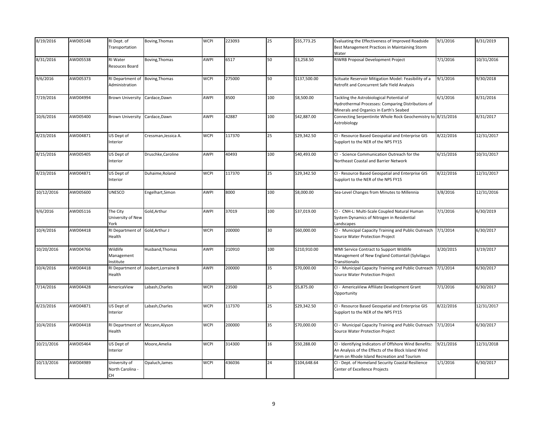| 8/19/2016  | AWD05148 | RI Dept. of<br>Transportation                  | Boving, Thomas       | <b>WCPI</b> | 223093 | 25  | \$55,773.25  | Evaluating the Effectiveness of Improved Roadside<br>Best Management Practices in Maintaining Storm<br>Water                                                 | 9/1/2016  | 8/31/2019  |
|------------|----------|------------------------------------------------|----------------------|-------------|--------|-----|--------------|--------------------------------------------------------------------------------------------------------------------------------------------------------------|-----------|------------|
| 8/31/2016  | AWD05538 | RI Water<br>Resouces Board                     | Boving, Thomas       | <b>AWPI</b> | 6517   | 50  | \$3,258.50   | RIWRB Proposal Development Project                                                                                                                           | 7/1/2016  | 10/31/2016 |
| 9/6/2016   | AWD05373 | RI Department of<br>Administration             | Boving, Thomas       | <b>WCPI</b> | 275000 | 50  | \$137,500.00 | Scituate Reservoir Mitigation Model: Feasibility of a<br>Retrofit and Concurrent Safe Yield Analysis                                                         | 9/1/2016  | 9/30/2018  |
| 7/19/2016  | AWD04994 | <b>Brown University</b>                        | Cardace, Dawn        | AWPI        | 8500   | 100 | \$8,500.00   | Tackling the Astrobiological Potential of<br>Hydrothermal Processes: Comparing Distributions of<br>Minerals and Organics in Earth's Seabed                   | 6/1/2016  | 8/31/2016  |
| 10/6/2016  | AWD05400 | <b>Brown University</b>                        | Cardace, Dawn        | AWPI        | 42887  | 100 | \$42,887.00  | Connecting Serpentinite Whole Rock Geochemistry to 8/15/2016<br>Astrobiology                                                                                 |           | 8/31/2017  |
| 8/23/2016  | AWD04871 | US Dept of<br>Interior                         | Cressman, Jessica A. | <b>WCPI</b> | 117370 | 25  | \$29,342.50  | CI - Resource Based Geospatial and Enterprise GIS<br>Supplort to the NER of the NPS FY15                                                                     | 8/22/2016 | 12/31/2017 |
| 8/15/2016  | AWD05405 | US Dept of<br>Interior                         | Druschke, Caroline   | AWPI        | 40493  | 100 | \$40,493.00  | CI - Science Communication Outreach for the<br>Northeast Coastal and Barrier Network                                                                         | 6/15/2016 | 10/31/2017 |
| 8/23/2016  | AWD04871 | US Dept of<br>Interior                         | Duhaime, Roland      | <b>WCPI</b> | 117370 | 25  | \$29,342.50  | CI - Resource Based Geospatial and Enterprise GIS<br>Supplort to the NER of the NPS FY15                                                                     | 8/22/2016 | 12/31/2017 |
| 10/12/2016 | AWD05600 | <b>UNESCO</b>                                  | ngelhart, Simon      | AWPI        | 8000   | 100 | \$8,000.00   | Sea-Level Changes from Minutes to Millennia                                                                                                                  | 3/8/2016  | 12/31/2016 |
| 9/6/2016   | AWD05116 | The City<br>University of New<br>York          | Gold, Arthur         | AWPI        | 37019  | 100 | \$37,019.00  | CI - CNH-L: Multi-Scale Coupled Natural Human<br>System Dynamics of Nitrogen in Residential<br>Landscapes                                                    | 7/1/2016  | 6/30/2019  |
| 10/4/2016  | AWD04418 | RI Department of<br>Health                     | Gold, Arthur J       | <b>WCPI</b> | 200000 | 30  | \$60,000.00  | CI - Municipal Capacity Training and Public Outreach<br>Source Water Protection Project                                                                      | 7/1/2014  | 6/30/2017  |
| 10/20/2016 | AWD04766 | Wildlife<br>Management<br>Institute            | Husband, Thomas      | <b>AWPI</b> | 210910 | 100 | \$210,910.00 | WMI Service Contract to Support Wildlife<br>Management of New England Cottontail (Sylvilagus<br>Transitionalis                                               | 3/20/2015 | 3/19/2017  |
| 10/4/2016  | AWD04418 | RI Department of<br>Health                     | Joubert, Lorraine B  | AWPI        | 200000 | 35  | \$70,000.00  | CI - Municipal Capacity Training and Public Outreach<br>Source Water Protection Project                                                                      | 7/1/2014  | 6/30/2017  |
| 7/14/2016  | AWD04428 | AmericaView                                    | Labash, Charles      | <b>WCPI</b> | 23500  | 25  | \$5,875.00   | CI - AmericaView Affiliate Development Grant<br>Opportunity                                                                                                  | 7/1/2016  | 6/30/2017  |
| 8/23/2016  | AWD04871 | US Dept of<br>Interior                         | Labash, Charles      | <b>WCPI</b> | 117370 | 25  | \$29,342.50  | CI - Resource Based Geospatial and Enterprise GIS<br>Supplort to the NER of the NPS FY15                                                                     | 8/22/2016 | 12/31/2017 |
| 10/4/2016  | AWD04418 | RI Department of<br>Health                     | Mccann, Alyson       | <b>WCPI</b> | 200000 | 35  | \$70,000.00  | CI - Municipal Capacity Training and Public Outreach<br>Source Water Protection Project                                                                      | 7/1/2014  | 6/30/2017  |
| 10/21/2016 | AWD05464 | US Dept of<br>Interior                         | Moore, Amelia        | <b>WCPI</b> | 314300 | 16  | \$50,288.00  | CI - Identifying Indicators of Offshore Wind Benefits:<br>An Analysis of the Effects of the Block Island Wind<br>Farm on Rhode Island Recreation and Tourism | 9/21/2016 | 12/31/2018 |
| 10/13/2016 | AWD04989 | University of<br>North Carolina -<br><b>CH</b> | Opaluch, James       | <b>WCPI</b> | 436036 | 24  | \$104,648.64 | CI - Dept. of Homeland Security Coastal Resilience<br>Center of Excellence Projects                                                                          | 1/1/2016  | 6/30/2017  |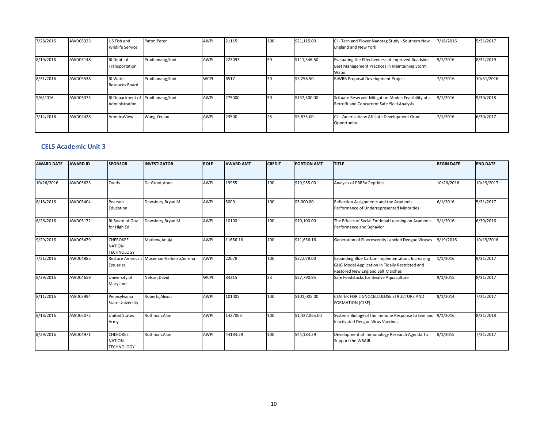| 7/28/2016 | AWD05323 | US Fish and<br><b>Wildlife Service</b>              | Paton, Peter     | <b>AWPI</b> | 21115  | 100 | \$21,115.00  | CI - Tern and Plover Nanotag Study - Southern New<br><b>England and New York</b>                             | 7/18/2016 | 5/31/2017  |
|-----------|----------|-----------------------------------------------------|------------------|-------------|--------|-----|--------------|--------------------------------------------------------------------------------------------------------------|-----------|------------|
| 8/19/2016 | AWD05148 | RI Dept. of<br>Transportation                       | Pradhanang, Soni | <b>AWPI</b> | 223093 | 50  | \$111,546.50 | Evaluating the Effectiveness of Improved Roadside<br>Best Management Practices in Maintaining Storm<br>Water | 9/1/2016  | 8/31/2019  |
| 8/31/2016 | AWD05538 | <b>RI</b> Water<br>Resouces Board                   | Pradhanang, Soni | <b>WCPI</b> | 6517   |     | \$3,258.50   | RIWRB Proposal Development Project                                                                           | 7/1/2016  | 10/31/2016 |
| 9/6/2016  | AWD05373 | RI Department of Pradhanang, Soni<br>Administration |                  | <b>AWPI</b> | 275000 | 150 | \$137,500.00 | Scituate Reservoir Mitigation Model: Feasibility of a<br>Retrofit and Concurrent Safe Yield Analysis         | 9/1/2016  | 9/30/2018  |
| 7/14/2016 | AWD04428 | AmericaView                                         | Wang, Yegiao     | <b>AWPI</b> | 23500  | 25  | \$5,875.00   | CI - AmericaView Affiliate Development Grant<br>Opportunity                                                  | 7/1/2016  | 6/30/2017  |

#### **CELS Academic Unit 3**

| <b>AWARD DATE</b> | <b>AWARD ID</b> | <b>SPONSOR</b>                                        | <b>INVESTIGATOR</b>                         | <b>ROLE</b> | <b>AWARD AMT</b> | <b>CREDIT</b> | <b>PORTION AMT</b> | <b>TITLE</b>                                                                                                                             | <b>BEGIN DATE</b> | <b>END DATE</b> |
|-------------------|-----------------|-------------------------------------------------------|---------------------------------------------|-------------|------------------|---------------|--------------------|------------------------------------------------------------------------------------------------------------------------------------------|-------------------|-----------------|
|                   |                 |                                                       |                                             |             |                  |               |                    |                                                                                                                                          |                   |                 |
| 10/26/2016        | AWD05623        | Zoetis                                                | De Groot, Anne                              | <b>AWPI</b> | 19955            | 100           | \$19,955.00        | Analysis of PRRSV Peptides                                                                                                               | 10/20/2016        | 10/19/2017      |
| 8/18/2016         | AWD05404        | Pearson<br>Education                                  | Dewsbury, Bryan M                           | AWPI        | 5000             | 100           | \$5,000.00         | Reflection Assignments and the Academic<br>Performance of Underrepresented Minorities                                                    | 6/1/2016          | 5/31/2017       |
| 8/26/2016         | AWD05172        | RI Board of Gov<br>for High Ed                        | Dewsbury, Bryan M                           | <b>AWPI</b> | 10100            | 100           | \$10,100.00        | The Effects of Social Emtional Learning on Academic<br>Performance and Behavior                                                          | 3/1/2016          | 6/30/2016       |
| 9/29/2016         | AWD05479        | <b>CHEROKEE</b><br><b>NATION</b><br><b>TECHNOLOGY</b> | Mathew, Anuja                               | <b>AWPI</b> | 11656.16         | 100           | \$11,656.16        | Generation of Fluorescently Labeled Dengue Viruses                                                                                       | 9/19/2016         | 10/19/2016      |
| 7/21/2016         | AWD04885        | Estuaries                                             | Restore America's Moseman-Valtierra, Serena | <b>AWPI</b> | 22078            | 100           | \$22,078.00        | Expanding Blue Carbon Implementation: Increasing<br>GHG Model Application in Tidally Restricted and<br>Restored New England Salt Marshes | 1/1/2016          | 8/31/2017       |
| 8/29/2016         | AWD04659        | University of<br>Maryland                             | Nelson, David                               | <b>WCPI</b> | 84215            | 33            | \$27,790.95        | Safe Feedstocks for Bivalve Aquaculture                                                                                                  | 9/1/2015          | 8/31/2017       |
| 8/11/2016         | AWD03994        | Pennsylvania<br><b>State University</b>               | Roberts, Alison                             | <b>AWPI</b> | 101005           | 100           | \$101,005.00       | CENTER FOR LIGNOCELLULOSE STRUCTURE AND<br><b>FORMATION (CLSF)</b>                                                                       | 8/1/2014          | 7/31/2017       |
| 8/18/2016         | AWD05072        | <b>United States</b><br>Army                          | Rothman, Alan                               | <b>AWPI</b> | 1427065          | 100           | \$1,427,065.00     | Systems Biology of the Immune Response to Live and 9/1/2016<br><b>Inactivated Dengue Virus Vaccines</b>                                  |                   | 8/31/2018       |
| 8/29/2016         | AWD04971        | <b>CHEROKEE</b><br><b>NATION</b><br><b>TECHNOLOGY</b> | Rothman, Alan                               | <b>AWPI</b> | 44184.29         | 100           | \$44,184.29        | Development of Immunology Research Agenda To<br>Support the WRAIR                                                                        | 8/1/2015          | 7/31/2017       |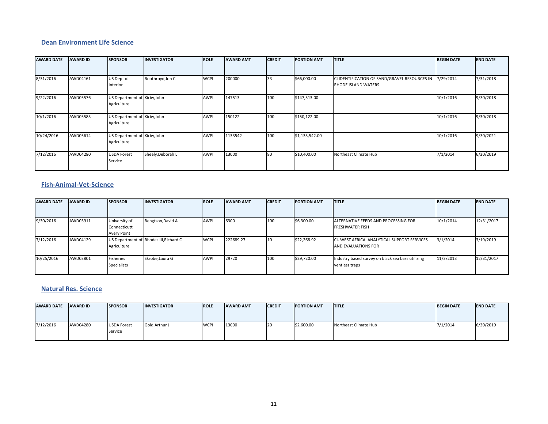#### **Dean Environment Life Science**

| <b>AWARD DATE</b> | <b>AWARD ID</b> | <b>SPONSOR</b>                              | <b>INVESTIGATOR</b> | <b>ROLE</b> | <b>AWARD AMT</b> | <b>CREDIT</b> | <b>PORTION AMT</b> | <b>TITLE</b>                                                                | <b>BEGIN DATE</b> | <b>END DATE</b> |
|-------------------|-----------------|---------------------------------------------|---------------------|-------------|------------------|---------------|--------------------|-----------------------------------------------------------------------------|-------------------|-----------------|
|                   |                 |                                             |                     |             |                  |               |                    |                                                                             |                   |                 |
| 8/31/2016         | AWD04161        | US Dept of<br>Interior                      | Boothroyd, Jon C    | <b>WCPI</b> | 200000           | 33            | \$66,000.00        | CI IDENTIFICATION OF SAND/GRAVEL RESOURCES IN<br><b>RHODE ISLAND WATERS</b> | 7/29/2014         | 7/31/2018       |
| 9/22/2016         | AWD05576        | US Department of Kirby, John<br>Agriculture |                     | <b>AWPI</b> | 147513           | 100           | \$147,513.00       |                                                                             | 10/1/2016         | 9/30/2018       |
| 10/1/2016         | AWD05583        | US Department of Kirby, John<br>Agriculture |                     | <b>AWPI</b> | 150122           | 100           | \$150,122.00       |                                                                             | 10/1/2016         | 9/30/2018       |
| 10/24/2016        | AWD05614        | US Department of Kirby, John<br>Agriculture |                     | <b>AWPI</b> | 1133542          | 100           | \$1,133,542.00     |                                                                             | 10/1/2016         | 9/30/2021       |
| 7/12/2016         | AWD04280        | <b>USDA Forest</b><br>Service               | Sheely, Deborah L   | <b>AWPI</b> | 13000            | 80            | \$10,400.00        | Northeast Climate Hub                                                       | 7/1/2014          | 6/30/2019       |

#### **Fish‐Animal‐Vet‐Science**

| <b>AWARD DATE</b> | <b>AWARD ID</b> | <b>SPONSOR</b>     | <b>INVESTIGATOR</b>                    | <b>ROLE</b> | <b>AWARD AMT</b> | <b>CREDIT</b> | <b>PORTION AMT</b> | <b>ITITLE</b>                                     | <b>BEGIN DATE</b> | <b>END DATE</b> |
|-------------------|-----------------|--------------------|----------------------------------------|-------------|------------------|---------------|--------------------|---------------------------------------------------|-------------------|-----------------|
|                   |                 |                    |                                        |             |                  |               |                    |                                                   |                   |                 |
| 9/30/2016         | AWD03911        | University of      | Bengtson, David A                      | <b>AWPI</b> | 6300             | 100           | \$6,300.00         | ALTERNATIVE FEEDS AND PROCESSING FOR              | 10/1/2014         | 12/31/2017      |
|                   |                 | Connecticutt       |                                        |             |                  |               |                    | <b>FRESHWATER FISH</b>                            |                   |                 |
|                   |                 | Avery Point        |                                        |             |                  |               |                    |                                                   |                   |                 |
| 7/12/2016         | AWD04129        |                    | US Department of Rhodes III, Richard C | <b>WCPI</b> | 222689.27        | 110           | \$22,268.92        | CI- WEST AFRICA ANALYTICAL SUPPORT SERVICES       | 3/1/2014          | 3/19/2019       |
|                   |                 | Agriculture        |                                        |             |                  |               |                    | AND EVALUATIONS FOR                               |                   |                 |
|                   |                 |                    |                                        |             |                  |               |                    |                                                   |                   |                 |
| 10/25/2016        | AWD03801        | Fisheries          | Skrobe, Laura G                        | <b>AWPI</b> | 29720            | 100           | \$29,720.00        | Industry based survey on black sea bass utilizing | 11/3/2013         | 12/31/2017      |
|                   |                 | <b>Specialists</b> |                                        |             |                  |               |                    | ventless traps                                    |                   |                 |
|                   |                 |                    |                                        |             |                  |               |                    |                                                   |                   |                 |

#### **Natural Res. Science**

| <b>AWARD DATE</b> | <b>AWARD ID</b> | <b>SPONSOR</b>                | <b>INVESTIGATOR</b> | <b>ROLE</b> | <b>AWARD AMT</b> | <b>ICREDIT</b> | <b>PORTION AMT</b> | <b>ITITLE</b>         | <b>BEGIN DATE</b> | <b>IEND DATE</b> |
|-------------------|-----------------|-------------------------------|---------------------|-------------|------------------|----------------|--------------------|-----------------------|-------------------|------------------|
| 7/12/2016         | AWD04280        | <b>USDA Forest</b><br>Service | Gold Arthur J       | <b>WCP</b>  | 13000            | ι∠ι            | \$2,600.00         | Northeast Climate Hub | 7/1/2014          | 6/30/2019        |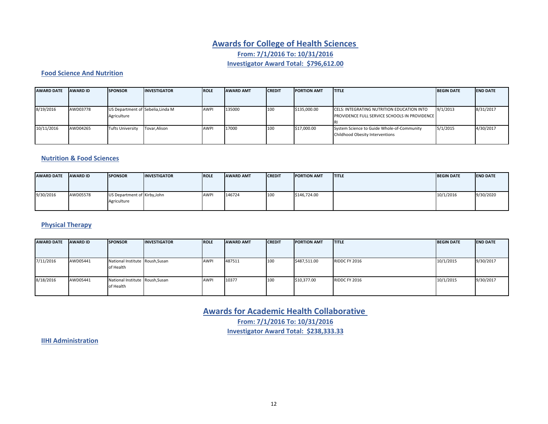## **Awards for College of Health Sciences From: 7/1/2016 To: 10/31/2016 Investigator Award Total: \$796,612.00**

#### **Food Science And Nutrition**

| <b>AWARD DATE</b> | <b>AWARD ID</b> | <b>SPONSOR</b>                                   | <b>INVESTIGATOR</b> | <b>ROLE</b> | <b>AWARD AMT</b> | <b>CREDIT</b> | <b>PORTION AMT</b> | <b>ITITLE</b>                                                                                      | <b>BEGIN DATE</b> | <b>END DATE</b> |
|-------------------|-----------------|--------------------------------------------------|---------------------|-------------|------------------|---------------|--------------------|----------------------------------------------------------------------------------------------------|-------------------|-----------------|
| 8/19/2016         | AWD03778        | US Department of Sebelia, Linda M<br>Agriculture |                     | <b>AWP</b>  | 135000           | 100           | \$135,000.00       | CELS: INTEGRATING NUTRITION EDUCATION INTO<br><b>PROVIDENCE FULL SERVICE SCHOOLS IN PROVIDENCE</b> | 9/1/2013          | 8/31/2017       |
| 10/11/2016        | AWD04265        | <b>Tufts University</b>                          | Tovar.Alison        | <b>AWP</b>  | 17000            | 100           | \$17,000.00        | System Science to Guide Whole-of-Community<br>Childhood Obesity Interventions                      | 5/1/2015          | 4/30/2017       |

#### **Nutrition & Food Sciences**

| <b>AWARD DATE</b> | <b>AWARD ID</b> | <b>SPONSOR</b>               | <b>INVESTIGATOR</b> | <b>IROLE</b> | <b>AWARD AMT</b> | <b>CREDIT</b> | <b>PORTION AMT</b> | <b>ITITLE</b> | <b>BEGIN DATE</b> | <b>IEND DATE</b> |
|-------------------|-----------------|------------------------------|---------------------|--------------|------------------|---------------|--------------------|---------------|-------------------|------------------|
|                   |                 |                              |                     |              |                  |               |                    |               |                   |                  |
|                   |                 |                              |                     |              |                  |               |                    |               |                   |                  |
| 9/30/2016         | AWD05578        | US Department of Kirby, John |                     | <b>AWPI</b>  | 146724           | 100           | \$146,724.00       |               | 10/1/2016         | 9/30/2020        |
|                   |                 | Agriculture                  |                     |              |                  |               |                    |               |                   |                  |
|                   |                 |                              |                     |              |                  |               |                    |               |                   |                  |

### **Physical Therapy**

| <b>AWARD DATE</b> | <b>AWARD ID</b> | <b>SPONSOR</b>                               | <b>INVESTIGATOR</b> | <b>ROLE</b> | <b>AWARD AMT</b> | <b>CREDIT</b> | <b>PORTION AMT</b> | <b>ITITLE</b> | <b>BEGIN DATE</b> | <b>END DATE</b> |
|-------------------|-----------------|----------------------------------------------|---------------------|-------------|------------------|---------------|--------------------|---------------|-------------------|-----------------|
| 7/11/2016         | AWD05441        | National Institute Roush, Susan<br>of Health |                     | <b>AWPI</b> | 487511           | 100           | \$487,511.00       | RIDDC FY 2016 | 10/1/2015         | 9/30/2017       |
| 8/18/2016         | AWD05441        | National Institute Roush, Susan<br>of Health |                     | <b>AWPI</b> | 10377            | 100           | \$10,377.00        | RIDDC FY 2016 | 10/1/2015         | 9/30/2017       |

**Awards for Academic Health Collaborative From: 7/1/2016 To: 10/31/2016 Investigator Award Total: \$238,333.33**

**IIHI Administration**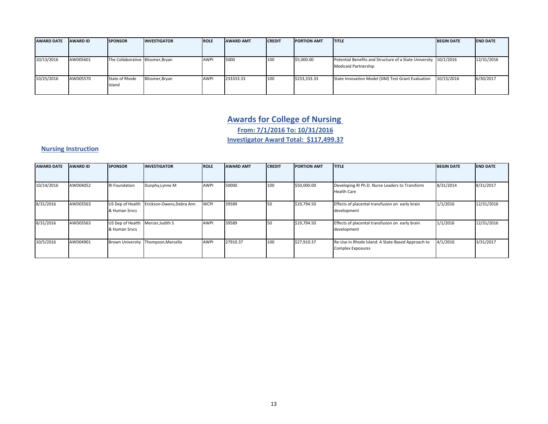| <b>AWARD DATE</b> | <b>AWARD ID</b> | <b>SPONSOR</b>                    | <b>INVESTIGATOR</b> | <b>ROLE</b> | <b>AWARD AMT</b> | <b>CREDIT</b> | <b>PORTION AMT</b> | <b>ITITLE</b>                                                                                   | <b>BEGIN DATE</b> | <b>END DATE</b> |
|-------------------|-----------------|-----------------------------------|---------------------|-------------|------------------|---------------|--------------------|-------------------------------------------------------------------------------------------------|-------------------|-----------------|
|                   |                 |                                   |                     |             |                  |               |                    |                                                                                                 |                   |                 |
| 10/13/2016        | AWD05601        | The Collaborative Blissmer, Bryan |                     | <b>AWPI</b> | 5000             | 100           | \$5,000.00         | Potential Benefits and Structure of a State University 10/1/2016<br><b>Medicaid Partnership</b> |                   | 12/31/2016      |
| 10/25/2016        | AWD05570        | State of Rhode<br>Island          | Blissmer, Bryan     | AWPI        | 233333.33        | 100           | \$233,333.33       | State Innovation Model (SIM) Test Grant Evaluation                                              | 10/15/2016        | 6/30/2017       |

### **Awards for College of Nursing**

**From: 7/1/2016 To: 10/31/2016**

**Investigator Award Total: \$117,499.37**

### **Nursing Instruction**

| <b>AWARD DATE</b> | <b>AWARD ID</b> | <b>SPONSOR</b>                                     | <b>INVESTIGATOR</b>       | <b>ROLE</b> | <b>AWARD AMT</b> | <b>CREDIT</b> | <b>PORTION AMT</b> | <b>TITLE</b>                                                                  | <b>BEGIN DATE</b> | <b>END DATE</b> |
|-------------------|-----------------|----------------------------------------------------|---------------------------|-------------|------------------|---------------|--------------------|-------------------------------------------------------------------------------|-------------------|-----------------|
|                   |                 |                                                    |                           |             |                  |               |                    |                                                                               |                   |                 |
| 10/14/2016        | AWD04052        | <b>RI Foundation</b>                               | Dunphy, Lynne M           | AWPI        | 50000            | 100           | \$50,000.00        | Developing RI Ph.D. Nurse Leaders to Transform<br><b>Health Care</b>          | 8/31/2014         | 8/31/2017       |
| 8/31/2016         | AWD03563        | US Dep of Health<br>& Human Srvcs                  | Erickson-Owens, Debra Ann | <b>WCPI</b> | 39589            | 50            | \$19,794.50        | Effects of placental transfusion on early brain<br>development                | 1/1/2016          | 12/31/2016      |
| 8/31/2016         | AWD03563        | US Dep of Health Mercer, Judith S<br>& Human Srvcs |                           | AWPI        | 39589            | 50            | \$19,794.50        | Effects of placental transfusion on early brain<br>development                | 1/1/2016          | 12/31/2016      |
| 10/5/2016         | AWD04901        | <b>Brown University</b>                            | Thompson, Marcella        | <b>AWPI</b> | 27910.37         | 100           | \$27,910.37        | Re-Use in Rhode Island: A State-Based Approach to<br><b>Complex Exposures</b> | 4/1/2016          | 3/31/2017       |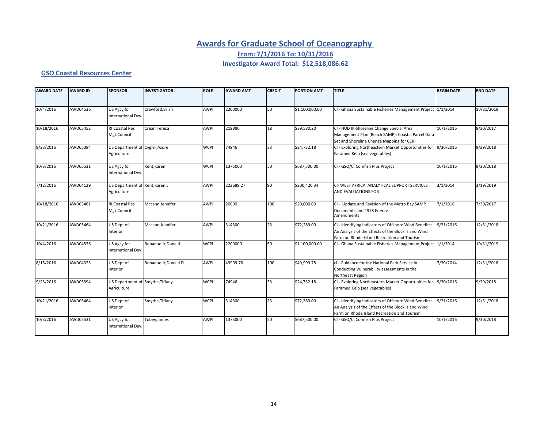### **Awards for Graduate School of Oceanography**

**From: 7/1/2016 To: 10/31/2016**

### **Investigator Award Total: \$12,518,086.62**

#### **GSO Coastal Resources Center**

| <b>AWARD DATE</b> | <b>AWARD ID</b> | <b>SPONSOR</b>                                  | <b>INVESTIGATOR</b>  | <b>ROLE</b> | <b>AWARD AMT</b> | <b>CREDIT</b> | <b>PORTION AMT</b> | <b>TITLE</b>                                                                                                                                                 | <b>BEGIN DATE</b> | <b>END DATE</b> |
|-------------------|-----------------|-------------------------------------------------|----------------------|-------------|------------------|---------------|--------------------|--------------------------------------------------------------------------------------------------------------------------------------------------------------|-------------------|-----------------|
| 10/4/2016         | AWD04536        | US Agcy for<br>International Dev.               | Crawford, Brian      | <b>AWPI</b> | 2200000          | 50            | \$1,100,000.00     | CI - Ghana Sustainable Fisheries Management Project 1/1/2014                                                                                                 |                   | 10/31/2019      |
| 10/18/2016        | AWD05452        | <b>RI Coastal Res</b><br>Mgt.Council            | Crean, Teresa        | <b>AWPI</b> | 219890           | 18            | \$39,580.20        | CI - HUD III-Shoreline Change Special Area<br>Management Plan (Beach SAMP): Coastal Parcel Data<br>Set and Shoreline Change Mapping for CERI                 | 10/1/2016         | 9/30/2017       |
| 9/23/2016         | AWD05394        | US Department of Cygler, Azure<br>Agriculture   |                      | <b>WCPI</b> | 74946            | 33            | \$24,732.18        | CI - Exploring Northeastern Market Opportunities for<br>Faramed Kelp (sea vegetables)                                                                        | 9/30/2016         | 9/29/2018       |
| 10/3/2016         | AWD05531        | US Agcy for<br>International Dev.               | Kent, Karen          | <b>WCPI</b> | 1375000          | 50            | \$687,500.00       | CI - GSO/CI Comfish Plus Project                                                                                                                             | 10/1/2016         | 9/30/2018       |
| 7/12/2016         | AWD04129        | US Department of Kent, Karen L<br>Agriculture   |                      | <b>AWPI</b> | 222689.27        | 90            | \$200,420.34       | CI- WEST AFRICA ANALYTICAL SUPPORT SERVICES<br>AND EVALUATIONS FOR                                                                                           | 3/1/2014          | 3/19/2019       |
| 10/18/2016        | AWD05481        | <b>RI Coastal Res</b><br>Mgt.Council            | Mccann, Jennifer     | AWPI        | 20000            | 100           | \$20,000.00        | CI - Update and Revision of the Metro Bay SAMP<br>Documents and 1978 Energy<br>Amendments                                                                    | 7/1/2016          | 7/30/2017       |
| 10/21/2016        | AWD05464        | US Dept of<br>Interior                          | Mccann, Jennifer     | <b>AWPI</b> | 314300           | 23            | \$72,289.00        | CI - Identifying Indicators of Offshore Wind Benefits:<br>An Analysis of the Effects of the Block Island Wind<br>Farm on Rhode Island Recreation and Tourism | 9/21/2016         | 12/31/2018      |
| 10/4/2016         | AWD04536        | US Agcy for<br>International Dev.               | Robadue Jr, Donald   | <b>WCPI</b> | 2200000          | 50            | \$1,100,000.00     | CI - Ghana Sustainable Fisheries Management Project                                                                                                          | 1/1/2014          | 10/31/2019      |
| 8/15/2016         | AWD04325        | US Dept of<br>Interior                          | Robadue Jr, Donald D | <b>AWPI</b> | 49999.78         | 100           | \$49,999.78        | ci - Guidance for the National Park Service in<br>Conducting Vulnerability assessments in the<br>Northeast Region                                            | 7/30/2014         | 12/31/2018      |
| 9/23/2016         | AWD05394        | US Department of Smythe, Tiffany<br>Agriculture |                      | <b>WCPI</b> | 74946            | 33            | \$24,732.18        | CI - Exploring Northeastern Market Opportunities for<br>Faramed Kelp (sea vegetables)                                                                        | 9/30/2016         | 9/29/2018       |
| 10/21/2016        | AWD05464        | US Dept of<br>Interior                          | Smythe, Tiffany      | <b>WCPI</b> | 314300           | 23            | \$72,289.00        | CI - Identifying Indicators of Offshore Wind Benefits:<br>An Analysis of the Effects of the Block Island Wind<br>Farm on Rhode Island Recreation and Tourism | 9/21/2016         | 12/31/2018      |
| 10/3/2016         | AWD05531        | US Agcy for<br>International Dev.               | Tobey, James         | AWPI        | 1375000          | 50            | \$687,500.00       | CI - GSO/CI Comfish Plus Project                                                                                                                             | 10/1/2016         | 9/30/2018       |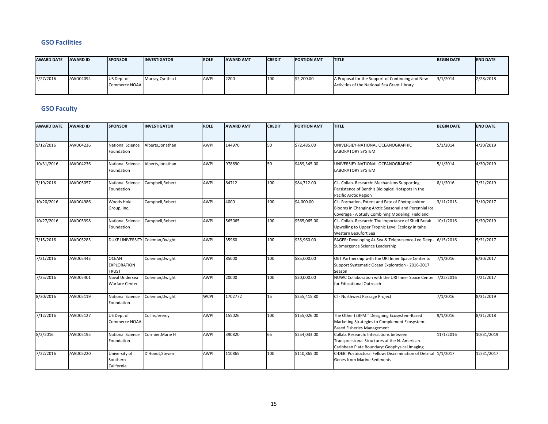#### **GSO Facilities**

| <b>AWARD DATE</b> | <b>AWARD ID</b> | <b>SPONSOR</b>              | <b>INVESTIGATOR</b> | <b>IROLE</b> | <b>AWARD AMT</b> | <b>CREDIT</b> | <b>PORTION AMT</b> | <b>ITITLE</b>                                                                                    | <b>BEGIN DATE</b> | <b>END DATE</b> |
|-------------------|-----------------|-----------------------------|---------------------|--------------|------------------|---------------|--------------------|--------------------------------------------------------------------------------------------------|-------------------|-----------------|
| 7/27/2016         | AWD04094        | US Dept of<br>Commerce NOAA | Murray, Cynthia J   | <b>AWPI</b>  | 2200             | 100           | \$2,200.00         | A Proposal for the Support of Continuing and New<br>Activities of the National Sea Grant Library | 3/1/2014          | 2/28/2018       |

#### **GSO Faculty**

| <b>AWARD DATE</b>      | <b>AWARD ID</b> | <b>SPONSOR</b>                              | <b>INVESTIGATOR</b> | <b>ROLE</b> | <b>AWARD AMT</b> | <b>CREDIT</b> | <b>PORTION AMT</b> | <b>TITLE</b>                                                                                                                                                 | <b>BEGIN DATE</b> | <b>END DATE</b> |
|------------------------|-----------------|---------------------------------------------|---------------------|-------------|------------------|---------------|--------------------|--------------------------------------------------------------------------------------------------------------------------------------------------------------|-------------------|-----------------|
|                        |                 |                                             |                     |             |                  |               |                    |                                                                                                                                                              |                   |                 |
| 9/12/2016              | AWD04236        | <b>National Science</b><br>Foundation       | Alberts, Jonathan   | <b>AWPI</b> | 144970           | 50            | \$72,485.00        | UNIVERSIEY-NATIONAL OCEANOGRAPHIC<br><b>LABORATORY SYSTEM</b>                                                                                                | 5/1/2014          | 4/30/2019       |
| 10/31/2016             | AWD04236        | <b>National Science</b><br>Foundation       | Alberts.Jonathan    | <b>AWPI</b> | 978690           | 50            | \$489,345.00       | UNIVERSIEY-NATIONAL OCEANOGRAPHIC<br><b>LABORATORY SYSTEM</b>                                                                                                | 5/1/2014          | 4/30/2019       |
| 7/19/2016              | AWD05057        | <b>National Science</b><br>Foundation       | Campbell, Robert    | <b>AWPI</b> | 84712            | 100           | \$84,712.00        | CI - Collab. Research: Mechanisms Supporting<br>Persistence of Benthis Biological Hotspots in the<br>Pacific Arctic Region                                   | 8/1/2016          | 7/31/2019       |
| 10/20/2016             | AWD04986        | Woods Hole<br>Group, Inc.                   | Campbell, Robert    | <b>AWPI</b> | 4000             | 100           | \$4,000.00         | CI - Formation, Extent and Fate of Phytoplankton<br>Blooms in Changing Arctic Seasonal and Perennial Ice<br>Coverage - A Study Combining Modeling, Field and | 3/11/2015         | 3/10/2017       |
| 10/27/2016             | AWD05398        | <b>National Science</b><br>Foundation       | Campbell, Robert    | <b>AWPI</b> | 565065           | 100           | \$565,065.00       | CI - Collab. Research: The Importance of Shelf Break<br>Upwelling to Upper Trophic Level Ecology in tahe<br>Western Beaufort Sea                             | 10/1/2016         | 9/30/2019       |
| 7/15/2016              | AWD05285        | DUKE UNIVERSITY Coleman, Dwight             |                     | <b>AWPI</b> | 35960            | 100           | \$35,960.00        | EAGER: Developing At-Sea & Telepresence-Led Deep- 6/15/2016<br>Submergence Science Leadership                                                                |                   | 5/31/2017       |
| 7/21/2016              | AWD05443        | <b>OCEAN</b><br><b>EXPLORATION</b><br>TRUST | Coleman, Dwight     | <b>AWPI</b> | 85000            | 100           | \$85,000.00        | OET Partnership with the URI Inner Space Center to<br>Support Systematic Ocean Exploration - 2016-2017<br>Season                                             | 7/1/2016          | 6/30/2017       |
| 7/25/2016              | AWD05401        | Naval Undersea<br><b>Warfare Center</b>     | Coleman, Dwight     | <b>AWPI</b> | 20000            | 100           | \$20,000.00        | NUWC Collaboration with the URI Inner Space Center 7/22/2016<br>for Educational Outreach                                                                     |                   | 7/21/2017       |
| 8/30/2016              | AWD05119        | <b>National Science</b><br>Foundation       | Coleman, Dwight     | <b>WCPI</b> | 1702772          | 15            | \$255,415.80       | CI - Northwest Passage Project                                                                                                                               | 7/1/2016          | 8/31/2019       |
| $\frac{1}{2}$ /12/2016 | AWD05127        | US Dept of<br>Commerce NOAA                 | Collie, Jeremy      | <b>AWPI</b> | 155026           | 100           | \$155,026.00       | The Other (EBFM:" Designing Ecosystem-Based<br>Marketing Strategies to Complement Ecosystem-<br><b>Based Fisheries Management</b>                            | 9/1/2016          | 8/31/2018       |
| $\sqrt{8}/2/2016$      | AWD05195        | <b>National Science</b><br>Foundation       | Cormier, Marie H    | <b>AWPI</b> | 390820           | 65            | \$254,033.00       | Collab. Research: Interactions between<br>Transpressional Structures at the N. American-<br>Caribbean Plate Boundary: Geophysical Imaging                    | 11/1/2016         | 10/31/2019      |
| 7/22/2016              | AWD05220        | University of<br>Southern<br>California     | D'Hondt, Steven     | <b>AWPI</b> | 110865           | 100           | \$110,865.00       | C-DEBI Postdoctoral Fellow: Discrimination of Detrital 1/1/2017<br><b>Genes from Marine Sediments</b>                                                        |                   | 12/31/2017      |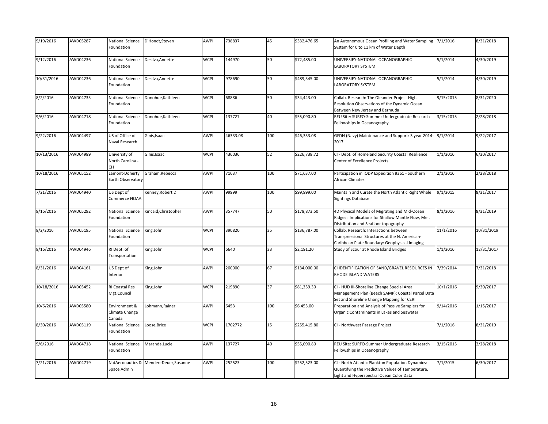| 9/19/2016  | AWD05287 | National Science<br>Foundation            | D'Hondt, Steven       | AWPI        | 738837   | 45  | \$332,476.65 | An Autonomous Ocean Profiling and Water Sampling 7/1/2016<br>System for 0 to 11 km of Water Depth                                                  |           | 8/31/2018  |
|------------|----------|-------------------------------------------|-----------------------|-------------|----------|-----|--------------|----------------------------------------------------------------------------------------------------------------------------------------------------|-----------|------------|
| 9/12/2016  | AWD04236 | National Science<br>Foundation            | Desilva, Annette      | <b>WCPI</b> | 144970   | 50  | \$72,485.00  | UNIVERSIEY-NATIONAL OCEANOGRAPHIC<br><b>LABORATORY SYSTEM</b>                                                                                      | 5/1/2014  | 4/30/2019  |
| 10/31/2016 | AWD04236 | National Science<br>Foundation            | Desilva, Annette      | <b>WCPI</b> | 978690   | 50  | \$489,345.00 | UNIVERSIEY-NATIONAL OCEANOGRAPHIC<br><b>LABORATORY SYSTEM</b>                                                                                      | 5/1/2014  | 4/30/2019  |
| 8/2/2016   | AWD04733 | National Science<br>Foundation            | Donohue, Kathleen     | <b>WCPI</b> | 68886    | 50  | \$34,443.00  | Collab. Research: The Oleander Project High<br>Resolution Observations of the Dynamic Ocean<br>Between New Jersey and Bermuda                      | 9/15/2015 | 8/31/2020  |
| 9/6/2016   | AWD04718 | National Science<br>Foundation            | Donohue, Kathleen     | <b>WCPI</b> | 137727   | 40  | \$55,090.80  | REU Site: SURFO-Summer Undergraduate Research<br>Fellowships in Oceanography                                                                       | 3/15/2015 | 2/28/2018  |
| 9/22/2016  | AWD04497 | US of Office of<br>Naval Research         | Ginis, Isaac          | AWPI        | 46333.08 | 100 | \$46,333.08  | GFDN (Navy) Maintenance and Support: 3 year 2014-<br>2017                                                                                          | 9/1/2014  | 9/22/2017  |
| 10/13/2016 | AWD04989 | University of<br>North Carolina -<br>CН   | Ginis, Isaac          | <b>WCPI</b> | 436036   | 52  | \$226,738.72 | CI - Dept. of Homeland Security Coastal Resilience<br>Center of Excellence Projects                                                                | 1/1/2016  | 6/30/2017  |
| 10/18/2016 | AWD05152 | Lamont-Doherty<br>Earth Observatory       | Graham, Rebecca       | AWPI        | 71637    | 100 | \$71,637.00  | Participation in IODP Expedition #361 - Southern<br>African Climates                                                                               | 2/1/2016  | 2/28/2018  |
| 7/21/2016  | AWD04940 | US Dept of<br>Commerce NOAA               | Kenney, Robert D      | AWPI        | 99999    | 100 | \$99,999.00  | Maintain and Curate the North Atlantic Right Whale<br>Sightings Database.                                                                          | 9/1/2015  | 8/31/2017  |
| 9/16/2016  | AWD05292 | National Science<br>Foundation            | Kincaid, Christopher  | <b>AWPI</b> | 357747   | 50  | \$178,873.50 | 4D Physical Models of Migrating and Mid-Ocean<br>Ridges: Implications for Shallow Mantle Flow, Melt<br>Distribution and Seafloor topography        | 8/1/2016  | 8/31/2019  |
| 8/2/2016   | AWD05195 | National Science<br>Foundation            | King, John            | <b>WCPI</b> | 390820   | 35  | \$136,787.00 | Collab. Research: Interactions between<br>Transpressional Structures at the N. American-<br>Caribbean Plate Boundary: Geophysical Imaging          | 11/1/2016 | 10/31/2019 |
| 8/16/2016  | AWD04946 | RI Dept. of<br>Transportation             | King, John            | <b>WCPI</b> | 6640     | 33  | \$2,191.20   | Study of Scour at Rhode Island Bridges                                                                                                             | 1/1/2016  | 12/31/2017 |
| 8/31/2016  | AWD04161 | US Dept of<br>Interior                    | King, John            | AWPI        | 200000   | 67  | \$134,000.00 | CI IDENTIFICATION OF SAND/GRAVEL RESOURCES IN<br>RHODE ISLAND WATERS                                                                               | 7/29/2014 | 7/31/2018  |
| 10/18/2016 | AWD05452 | RI Coastal Res<br>Mgt.Council             | King, John            | <b>WCPI</b> | 219890   | 37  | \$81,359.30  | CI - HUD III-Shoreline Change Special Area<br>Management Plan (Beach SAMP): Coastal Parcel Data<br>Set and Shoreline Change Mapping for CERI       | 10/1/2016 | 9/30/2017  |
| 10/6/2016  | AWD05580 | Environment &<br>Climate Change<br>Canada | Lohmann, Rainer       | AWPI        | 6453     | 100 | \$6,453.00   | Preparation and Analysis of Passive Samplers for<br>Organic Contaminants in Lakes and Seawater                                                     | 9/14/2016 | 1/15/2017  |
| 8/30/2016  | AWD05119 | National Science<br>Foundation            | Loose,Brice           | <b>WCPI</b> | 1702772  | 15  | \$255,415.80 | CI - Northwest Passage Project                                                                                                                     | 7/1/2016  | 8/31/2019  |
| 9/6/2016   | AWD04718 | National Science<br>Foundation            | Maranda, Lucie        | AWPI        | 137727   | 40  | \$55,090.80  | REU Site: SURFO-Summer Undergraduate Research<br>Fellowships in Oceanography                                                                       | 3/15/2015 | 2/28/2018  |
| 7/21/2016  | AWD04719 | NatAeronautics &<br>Space Admin           | Menden-Deuer, Susanne | AWPI        | 252523   | 100 | \$252,523.00 | CI - North Atlantic Plankton Population Dynamics:<br>Quantifying the Predictive Values of Temperature,<br>Light and Hyperspectral Ocean Color Data | 7/1/2015  | 6/30/2017  |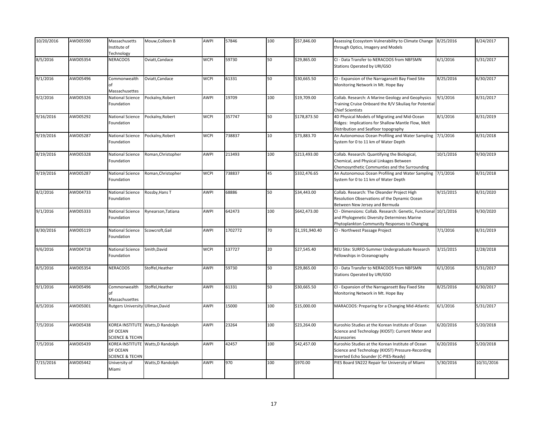| 10/20/2016 | AWD05590 | Massachusetts                    | Mouw, Colleen B                   | <b>AWPI</b> | 57846   | 100 | \$57,846.00    | Assessing Ecosystem Vulnerability to Climate Change              | 8/25/2016 | 8/24/2017  |
|------------|----------|----------------------------------|-----------------------------------|-------------|---------|-----|----------------|------------------------------------------------------------------|-----------|------------|
|            |          | Institute of                     |                                   |             |         |     |                | through Optics, Imagery and Models                               |           |            |
|            |          | Technology                       |                                   |             |         |     |                |                                                                  |           |            |
| 8/5/2016   | AWD05354 | NERACOOS                         | Oviatt, Candace                   | <b>WCPI</b> | 59730   | 50  | \$29,865.00    | CI - Data Transfer to NERACOOS from NBFSMN                       | 6/1/2016  | 5/31/2017  |
|            |          |                                  |                                   |             |         |     |                | Stations Operated by URI/GSO                                     |           |            |
|            |          |                                  |                                   |             |         |     |                |                                                                  |           |            |
| 9/1/2016   | AWD05496 | Commonwealth                     | Oviatt, Candace                   | <b>WCPI</b> | 61331   | 50  | \$30,665.50    | CI - Expansion of the Narragansett Bay Fixed Site                | 8/25/2016 | 6/30/2017  |
|            |          | of                               |                                   |             |         |     |                |                                                                  |           |            |
|            |          |                                  |                                   |             |         |     |                | Monitoring Network in Mt. Hope Bay                               |           |            |
|            |          | Massachusettes                   |                                   |             |         |     |                |                                                                  |           |            |
| 9/2/2016   | AWD05326 | National Science                 | Pockalny, Robert                  | AWPI        | 19709   | 100 | \$19,709.00    | Collab. Research: A Marine Geology and Geophysics                | 9/1/2016  | 8/31/2017  |
|            |          | Foundation                       |                                   |             |         |     |                | Training Cruise Onboard the R/V Sikuliaq for Potential           |           |            |
|            |          |                                  |                                   |             |         |     |                | <b>Chief Scientists</b>                                          |           |            |
| 9/16/2016  | AWD05292 | National Science                 | Pockalny, Robert                  | <b>WCPI</b> | 357747  | 50  | \$178,873.50   | 4D Physical Models of Migrating and Mid-Ocean                    | 8/1/2016  | 8/31/2019  |
|            |          | Foundation                       |                                   |             |         |     |                | Ridges: Implications for Shallow Mantle Flow, Melt               |           |            |
|            |          |                                  |                                   |             |         |     |                | Distribution and Seafloor topography                             |           |            |
| 9/19/2016  | AWD05287 | National Science                 | Pockalny, Robert                  | <b>WCPI</b> | 738837  | 10  | \$73,883.70    | An Autonomous Ocean Profiling and Water Sampling                 | 7/1/2016  | 8/31/2018  |
|            |          | Foundation                       |                                   |             |         |     |                | System for 0 to 11 km of Water Depth                             |           |            |
|            |          |                                  |                                   |             |         |     |                |                                                                  |           |            |
| 8/19/2016  | AWD05328 | National Science                 | Roman, Christopher                | AWPI        | 213493  | 100 | \$213,493.00   | Collab. Research: Quantifying the Biological,                    | 10/1/2016 | 9/30/2019  |
|            |          | Foundation                       |                                   |             |         |     |                | Chemical, and Physical Linkages Between                          |           |            |
|            |          |                                  |                                   |             |         |     |                | Chemosynthetic Communties and the Surrounding                    |           |            |
|            | AWD05287 | National Science                 | Roman, Christopher                | <b>WCPI</b> | 738837  | 45  | \$332,476.65   |                                                                  |           |            |
| 9/19/2016  |          |                                  |                                   |             |         |     |                | An Autonomous Ocean Profiling and Water Sampling 7/1/2016        |           | 8/31/2018  |
|            |          | Foundation                       |                                   |             |         |     |                | System for 0 to 11 km of Water Depth                             |           |            |
|            |          |                                  |                                   |             |         |     |                |                                                                  |           |            |
| 8/2/2016   | AWD04733 | National Science                 | Rossby, Hans T                    | AWPI        | 68886   | 50  | \$34,443.00    | Collab. Research: The Oleander Project High                      | 9/15/2015 | 8/31/2020  |
|            |          | Foundation                       |                                   |             |         |     |                | Resolution Observations of the Dynamic Ocean                     |           |            |
|            |          |                                  |                                   |             |         |     |                | Between New Jersey and Bermuda                                   |           |            |
| 9/1/2016   | AWD05333 | National Science                 | Rynearson, Tatiana                | AWPI        | 642473  | 100 | \$642,473.00   | CI - Dimensions: Collab. Research: Genetic, Functional 10/1/2016 |           | 9/30/2020  |
|            |          | Foundation                       |                                   |             |         |     |                | and Phylogenetic Diversity Determines Marine                     |           |            |
|            |          |                                  |                                   |             |         |     |                | Phytoplankton Community Responses to Changing                    |           |            |
| 8/30/2016  | AWD05119 | National Science                 | Scowcroft, Gail                   | <b>AWPI</b> | 1702772 | 70  | \$1,191,940.40 | CI - Northwest Passage Project                                   | 7/1/2016  | 8/31/2019  |
|            |          | Foundation                       |                                   |             |         |     |                |                                                                  |           |            |
|            |          |                                  |                                   |             |         |     |                |                                                                  |           |            |
| 9/6/2016   | AWD04718 | National Science                 | Smith, David                      | <b>WCPI</b> | 137727  | 20  | \$27,545.40    | REU Site: SURFO-Summer Undergraduate Research                    | 3/15/2015 | 2/28/2018  |
|            |          | Foundation                       |                                   |             |         |     |                | Fellowships in Oceanography                                      |           |            |
|            |          |                                  |                                   |             |         |     |                |                                                                  |           |            |
| 8/5/2016   | AWD05354 | <b>NERACOOS</b>                  | Stoffel, Heather                  | AWPI        | 59730   | 50  | \$29,865.00    | CI - Data Transfer to NERACOOS from NBFSMN                       | 6/1/2016  | 5/31/2017  |
|            |          |                                  |                                   |             |         |     |                |                                                                  |           |            |
|            |          |                                  |                                   |             |         |     |                | Stations Operated by URI/GSO                                     |           |            |
|            |          |                                  |                                   |             |         |     |                |                                                                  |           |            |
| 9/1/2016   | AWD05496 | Commonwealth                     | Stoffel, Heather                  | AWPI        | 61331   | 50  | \$30,665.50    | CI - Expansion of the Narragansett Bay Fixed Site                | 8/25/2016 | 6/30/2017  |
|            |          |                                  |                                   |             |         |     |                | Monitoring Network in Mt. Hope Bay                               |           |            |
|            |          | Massachusettes                   |                                   |             |         |     |                |                                                                  |           |            |
| 8/5/2016   | AWD05001 | Rutgers University Ullman, David |                                   | <b>AWPI</b> | 15000   | 100 | \$15,000.00    | MARACOOS: Preparing for a Changing Mid-Atlantic                  | 6/1/2016  | 5/31/2017  |
|            |          |                                  |                                   |             |         |     |                |                                                                  |           |            |
|            |          |                                  |                                   |             |         |     |                |                                                                  |           |            |
| 7/5/2016   | AWD05438 |                                  | KOREA INSTITUTE Watts, D Randolph | AWPI        | 23264   | 100 | \$23,264.00    | Kuroshio Studies at the Korean Institute of Ocean                | 6/20/2016 | 5/20/2018  |
|            |          | OF OCEAN                         |                                   |             |         |     |                | Science and Technology (KIOST): Current Meter and                |           |            |
|            |          | <b>SCIENCE &amp; TECHN</b>       |                                   |             |         |     |                | Accessories                                                      |           |            |
| 7/5/2016   | AWD05439 | KOREA INSTITUTE                  | Watts, D Randolph                 | AWPI        | 42457   | 100 | \$42,457.00    | Kuroshio Studies at the Korean Institute of Ocean                | 6/20/2016 | 5/20/2018  |
|            |          | OF OCEAN                         |                                   |             |         |     |                | Science and Technology (KIOST) Pressure-Recording                |           |            |
|            |          | <b>SCIENCE &amp; TECHN</b>       |                                   |             |         |     |                | Inverted Echo Sounder (C-PIES-Ready)                             |           |            |
| 7/15/2016  | AWD05442 | University of                    | Watts, D Randolph                 | <b>AWPI</b> | 970     | 100 | \$970.00       | PIES Board SN222 Repair for University of Miami                  | 5/30/2016 | 10/31/2016 |
|            |          |                                  |                                   |             |         |     |                |                                                                  |           |            |
|            |          | Miami                            |                                   |             |         |     |                |                                                                  |           |            |
|            |          |                                  |                                   |             |         |     |                |                                                                  |           |            |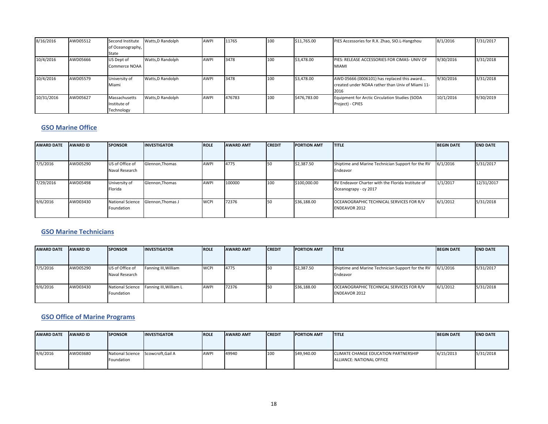| 8/16/2016  | AWD05512 | Second Institute | Watts, D Randolph | <b>AWPI</b> | 11765  | 100 | \$11,765.00  | PIES Accessories for R.X. Zhao, SIO.L-Hangzhou   | 8/1/2016  | 7/31/2017 |
|------------|----------|------------------|-------------------|-------------|--------|-----|--------------|--------------------------------------------------|-----------|-----------|
|            |          | of Oceanography, |                   |             |        |     |              |                                                  |           |           |
|            |          | State            |                   |             |        |     |              |                                                  |           |           |
| 10/4/2016  | AWD05666 | US Dept of       | Watts.D Randolph  | <b>AWPI</b> | 3478   | 100 | \$3,478.00   | PIES: RELEASE ACCESSORIES FOR CIMAS- UNIV OF     | 9/30/2016 | 3/31/2018 |
|            |          | Commerce NOAA    |                   |             |        |     |              | <b>MIAMI</b>                                     |           |           |
|            |          |                  |                   |             |        |     |              |                                                  |           |           |
| 10/4/2016  | AWD05579 | University of    | Watts, D Randolph | <b>AWPI</b> | 3478   | 100 | \$3,478.00   | AWD 05666 (0006101) has replaced this award      | 9/30/2016 | 3/31/2018 |
|            |          | Miami            |                   |             |        |     |              | created under NOAA rather than Univ of Miami 11- |           |           |
|            |          |                  |                   |             |        |     |              | 2016                                             |           |           |
| 10/31/2016 | AWD05627 | Massachusetts    | Watts, D Randolph | <b>AWPI</b> | 476783 | 100 | \$476,783.00 | Equipment for Arctic Circulation Studies (SODA   | 10/1/2016 | 9/30/2019 |
|            |          | Institute of     |                   |             |        |     |              | Project) - CPIES                                 |           |           |
|            |          | Technology       |                   |             |        |     |              |                                                  |           |           |

#### **GSO Marine Office**

| <b>AWARD DATE</b> | <b>AWARD ID</b> | <b>SPONSOR</b>                        | <b>INVESTIGATOR</b> | <b>ROLE</b> | <b>AWARD AMT</b> | <b>CREDIT</b> | <b>PORTION AMT</b> | <b>TITLE</b>                                                               | <b>BEGIN DATE</b> | <b>END DATE</b> |
|-------------------|-----------------|---------------------------------------|---------------------|-------------|------------------|---------------|--------------------|----------------------------------------------------------------------------|-------------------|-----------------|
| 7/5/2016          | AWD05290        | US of Office of<br>Naval Research     | Glennon, Thomas     | <b>AWPI</b> | 4775             |               | \$2,387.50         | Shiptime and Marine Technician Support for the RV<br>Endeavor              | 6/1/2016          | 5/31/2017       |
| 7/29/2016         | AWD05498        | University of<br>Florida              | Glennon, Thomas     | <b>AWPI</b> | 100000           | 100           | \$100,000.00       | RV Endeavor Charter with the Florida Institute of<br>Oceanograpy - cy 2017 | 1/1/2017          | 12/31/2017      |
| 9/6/2016          | AWD03430        | <b>National Science</b><br>Foundation | Glennon. Thomas J   | <b>WCPI</b> | 72376            |               | \$36,188.00        | OCEANOGRAPHIC TECHNICAL SERVICES FOR R/V<br><b>ENDEAVOR 2012</b>           | 6/1/2012          | 5/31/2018       |

#### **GSO Marine Technicians**

| <b>AWARD DATE</b> | <b>AWARD ID</b> | <b>SPONSOR</b>                        | <b>INVESTIGATOR</b>    | <b>ROLE</b> | <b>AWARD AMT</b> | <b>CREDIT</b> | <b>IPORTION AMT</b> | <b>ITITLE</b>                                                    | <b>BEGIN DATE</b> | <b>END DATE</b> |
|-------------------|-----------------|---------------------------------------|------------------------|-------------|------------------|---------------|---------------------|------------------------------------------------------------------|-------------------|-----------------|
|                   |                 |                                       |                        |             |                  |               |                     |                                                                  |                   |                 |
| 7/5/2016          | AWD05290        | US of Office of<br>Naval Research     | Fanning III, William   | <b>WCPI</b> | 4775             |               | \$2,387.50          | Shiptime and Marine Technician Support for the RV<br>Endeavor    | 6/1/2016          | 5/31/2017       |
| 9/6/2016          | AWD03430        | <b>National Science</b><br>Foundation | Fanning III, William L | <b>AWPI</b> | 72376            | 50            | \$36,188.00         | OCEANOGRAPHIC TECHNICAL SERVICES FOR R/V<br><b>ENDEAVOR 2012</b> | 6/1/2012          | 5/31/2018       |

#### **GSO Office of Marine Programs**

| <b>AWARD DATE</b> | <b>AWARD ID</b> | <b>ISPONSOR</b>                    | <b>INVESTIGATOR</b> | <b>ROLE</b> | <b>AWARD AMT</b> | <b>ICREDIT</b> | <b>PORTION AMT</b> | <b>ITITLE</b>                               | <b>BEGIN DATE</b> | <b>END DATE</b> |
|-------------------|-----------------|------------------------------------|---------------------|-------------|------------------|----------------|--------------------|---------------------------------------------|-------------------|-----------------|
|                   |                 |                                    |                     |             |                  |                |                    |                                             |                   |                 |
|                   |                 |                                    |                     |             |                  |                |                    |                                             |                   |                 |
| 9/6/2016          | AWD03680        | National Science Scowcroft, Gail A |                     | <b>AWPI</b> | 49940            | 100            | \$49,940.00        | <b>CLIMATE CHANGE EDUCATION PARTNERSHIP</b> | 6/15/2013         | 5/31/2018       |
|                   |                 | Foundation                         |                     |             |                  |                |                    | ALLIANCE: NATIONAL OFFICE                   |                   |                 |
|                   |                 |                                    |                     |             |                  |                |                    |                                             |                   |                 |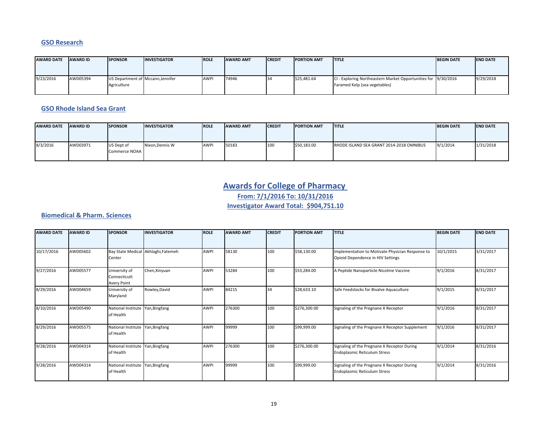#### **GSO Research**

| <b>AWARD DATE</b> | <b>AWARD ID</b> | <b>ISPONSOR</b>                                  | <b>INVESTIGATOR</b> | <b>ROLE</b> | <b>AWARD AMT</b> | <b>CREDIT</b> | <b>IPORTION AMT</b> | <b>ITITLE</b>                                                                                   | <b>BEGIN DATE</b> | <b>IEND DATE</b> |
|-------------------|-----------------|--------------------------------------------------|---------------------|-------------|------------------|---------------|---------------------|-------------------------------------------------------------------------------------------------|-------------------|------------------|
| 9/23/2016         | AWD05394        | US Department of Mccann, Jennifer<br>Agriculture |                     | <b>AWPI</b> | 74946            |               | \$25,481.64         | CI - Exploring Northeastern Market Opportunities for 9/30/2016<br>Faramed Kelp (sea vegetables) |                   | 9/29/2018        |

#### **GSO Rhode Island Sea Grant**

| <b>AWARD DATE</b> | <b>AWARD ID</b> | <b>ISPONSOR</b>             | <b>INVESTIGATOR</b> | <b>ROLE</b> | <b>AWARD AMT</b> | <b>ICREDIT</b> | <b>PORTION AMT</b> | <b>ITITLE</b>                            | <b>BEGIN DATE</b> | <b>IEND DATE</b> |
|-------------------|-----------------|-----------------------------|---------------------|-------------|------------------|----------------|--------------------|------------------------------------------|-------------------|------------------|
|                   |                 |                             |                     |             |                  |                |                    |                                          |                   |                  |
| 8/3/2016          | AWD03971        | US Dept of<br>Commerce NOAA | Nixon, Dennis W     | <b>AWPI</b> | 50183            | 100            | \$50,183.00        | RHODE ISLAND SEA GRANT 2014-2018 OMNIBUS | 9/1/2014          | 1/31/2018        |

### **Awards for College of Pharmacy**

**From: 7/1/2016 To: 10/31/2016**

**Investigator Award Total: \$904,751.10**

#### **Biomedical & Pharm. Sciences**

| <b>AWARD DATE</b> | <b>AWARD ID</b> | <b>SPONSOR</b>                                | <b>INVESTIGATOR</b>                 | <b>ROLE</b> | <b>AWARD AMT</b> | <b>CREDIT</b> | <b>PORTION AMT</b> | <b>TITLE</b>                                                                          | <b>BEGIN DATE</b> | <b>END DATE</b> |
|-------------------|-----------------|-----------------------------------------------|-------------------------------------|-------------|------------------|---------------|--------------------|---------------------------------------------------------------------------------------|-------------------|-----------------|
| 10/17/2016        | AWD05602        | Center                                        | Bay State Medical Akhlaghi, Fatemeh | <b>AWPI</b> | 58130            | 100           | \$58,130.00        | Implementation to Motivate Physician Response to<br>Opioid Dependence in HIV Settings | 10/1/2015         | 3/31/2017       |
| 9/27/2016         | AWD05577        | University of<br>Connecticutt<br>Avery Point  | Chen, Xinyuan                       | <b>AWPI</b> | 53284            | 100           | \$53,284.00        | A Peptide Nanoparticle Nicotine Vaccine                                               | 9/1/2016          | 8/31/2017       |
| 8/29/2016         | AWD04659        | University of<br>Maryland                     | Rowley, David                       | AWPI        | 84215            | 34            | \$28,633.10        | Safe Feedstocks for Bivalve Aquaculture                                               | 9/1/2015          | 8/31/2017       |
| 8/10/2016         | AWD05490        | National Institute Yan, Bingfang<br>of Health |                                     | <b>AWPI</b> | 276300           | 100           | \$276,300.00       | Signaling of the Pregnane X Receptor                                                  | 9/1/2016          | 8/31/2017       |
| 8/29/2016         | AWD05575        | National Institute Yan, Bingfang<br>of Health |                                     | <b>AWPI</b> | 99999            | 100           | \$99,999.00        | Signaling of the Pregnane X Receptor Supplement                                       | 9/1/2016          | 8/31/2017       |
| 9/28/2016         | AWD04314        | National Institute Yan, Bingfang<br>of Health |                                     | AWPI        | 276300           | 100           | \$276,300.00       | Signaling of the Pregnane X Receptor During<br><b>Endoplasmic Reticulum Stress</b>    | 9/1/2014          | 8/31/2016       |
| 9/28/2016         | AWD04314        | National Institute Yan, Bingfang<br>of Health |                                     | <b>AWPI</b> | 99999            | 100           | \$99,999.00        | Signaling of the Pregnane X Receptor During<br>Endoplasmic Reticulum Stress           | 9/1/2014          | 8/31/2016       |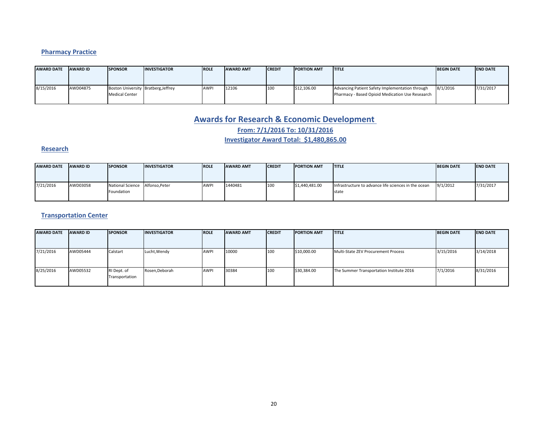### **Pharmacy Practice**

| <b>AWARD DATE</b> | <b>AWARD ID</b> | <b>ISPONSOR</b>                                              | <b>INVESTIGATOR</b> | <b>IROLE</b> | <b>AWARD AMT</b> | <b>CREDIT</b> | <b>IPORTION AMT</b> | <b>ITITLE</b>                                                                                       | <b>BEGIN DATE</b> | <b>IEND DATE</b> |
|-------------------|-----------------|--------------------------------------------------------------|---------------------|--------------|------------------|---------------|---------------------|-----------------------------------------------------------------------------------------------------|-------------------|------------------|
|                   |                 |                                                              |                     |              |                  |               |                     |                                                                                                     |                   |                  |
| 8/15/2016         | AWD04875        | Boston University Bratberg, Jeffrey<br><b>Medical Center</b> |                     | <b>AWP</b>   | 12106            | 100           | \$12,106.00         | Advancing Patient Safety Implementation through<br>Pharmacy - Based Opioid Medication Use Reseaarch | 8/1/2016          | 7/31/2017        |

### **Awards for Research & Economic Development**

**From: 7/1/2016 To: 10/31/2016**

**Investigator Award Total: \$1,480,865.00**

#### **Research**

| <b>AWARD DATE</b> | <b>AWARD ID</b> | <b>SPONSOR</b>                        | <b>INVESTIGATOR</b> | <b>ROLE</b> | <b>AWARD AMT</b> | <b>ICREDIT</b> | <b>PORTION AMT</b> | <b>ITITLE</b>                                                 | <b>BEGIN DATE</b> | <b>IEND DATE</b> |
|-------------------|-----------------|---------------------------------------|---------------------|-------------|------------------|----------------|--------------------|---------------------------------------------------------------|-------------------|------------------|
|                   |                 |                                       |                     |             |                  |                |                    |                                                               |                   |                  |
| 7/21/2016         | AWD03058        | <b>National Science</b><br>Foundation | Alfonso.Peter       | <b>AWP</b>  | 1440481          | 100            | \$1,440,481.00     | Infrastructure to advance life sciences in the ocean<br>state | 9/1/2012          | 7/31/2017        |
|                   |                 |                                       |                     |             |                  |                |                    |                                                               |                   |                  |

### **Transportation Center**

| <b>AWARD DATE</b> | <b>AWARD ID</b> | <b>SPONSOR</b>                | <b>INVESTIGATOR</b> | <b>ROLE</b> | <b>AWARD AMT</b> | <b>CREDIT</b> | <b>PORTION AMT</b> | <b>ITITLE</b>                            | <b>BEGIN DATE</b> | <b>END DATE</b> |
|-------------------|-----------------|-------------------------------|---------------------|-------------|------------------|---------------|--------------------|------------------------------------------|-------------------|-----------------|
|                   |                 |                               |                     |             |                  |               |                    |                                          |                   |                 |
| 7/21/2016         | AWD05444        | Calstart                      | Lucht, Wendy        | <b>AWPI</b> | 10000            | 100           | \$10,000.00        | Multi-State ZEV Procurement Process      | 3/15/2016         | 3/14/2018       |
| 8/25/2016         | AWD05532        | RI Dept. of<br>Transportation | Rosen, Deborah      | <b>AWPI</b> | 30384            | 100           | \$30,384.00        | The Summer Transportation Institute 2016 | 7/1/2016          | 8/31/2016       |